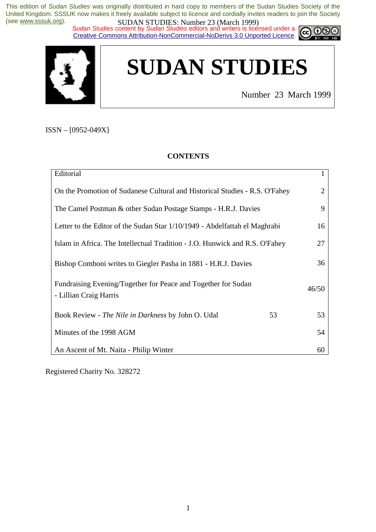*Sudan Studies* content by *Sudan Studies* editors and writers is licensed under a Creative Commons Attribution-NonCommercial-NoDerivs 3.0 Unported Licence.



# **SUDAN STUDIES**

Number 23 March 1999

ISSN – [0952-049X]

#### **CONTENTS**

| Editorial                                                                               |    | 1     |
|-----------------------------------------------------------------------------------------|----|-------|
| On the Promotion of Sudanese Cultural and Historical Studies - R.S. O'Fahey             |    | 2     |
| The Camel Postman & other Sudan Postage Stamps - H.R.J. Davies                          |    | 9     |
| Letter to the Editor of the Sudan Star 1/10/1949 - Abdelfattah el Maghrabi              |    | 16    |
| Islam in Africa. The Intellectual Tradition - J.O. Hunwick and R.S. O'Fahey             |    | 27    |
| Bishop Comboni writes to Giegler Pasha in 1881 - H.R.J. Davies                          |    | 36    |
| Fundraising Evening/Together for Peace and Together for Sudan<br>- Lillian Craig Harris |    | 46/50 |
| Book Review - The Nile in Darkness by John O. Udal                                      | 53 | 53    |
| Minutes of the 1998 AGM                                                                 |    | 54    |
| An Ascent of Mt. Naita - Philip Winter                                                  |    | 60    |

Registered Charity No. 328272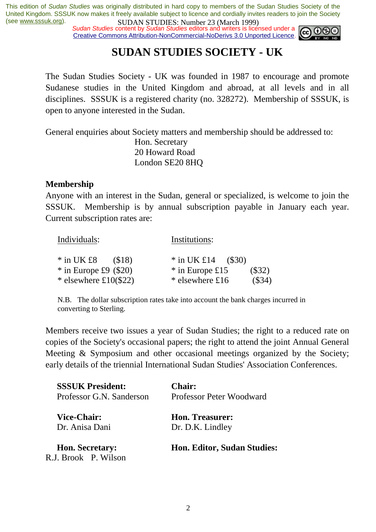*Sudan Studies* content by *Sudan Studies* editors and writers is licensed under a Creative Commons Attribution-NonCommercial-NoDerivs 3.0 Unported Licence.



### **SUDAN STUDIES SOCIETY - UK**

The Sudan Studies Society - UK was founded in 1987 to encourage and promote Sudanese studies in the United Kingdom and abroad, at all levels and in all disciplines. SSSUK is a registered charity (no. 328272). Membership of SSSUK, is open to anyone interested in the Sudan.

General enquiries about Society matters and membership should be addressed to:

 Hon. Secretary 20 Howard Road London SE20 8HQ

#### **Membership**

Anyone with an interest in the Sudan, general or specialized, is welcome to join the SSSUK. Membership is by annual subscription payable in January each year. Current subscription rates are:

| Individuals:            | Institutions:               |
|-------------------------|-----------------------------|
| $*$ in UK £8<br>(S18)   | * in UK £14 $($ \$30)       |
| $*$ in Europe £9 (\$20) | * in Europe £15<br>$(\$32)$ |
| * elsewhere $£10(\$22)$ | (\$34)<br>* elsewhere £16   |

N.B. The dollar subscription rates take into account the bank charges incurred in converting to Sterling.

Members receive two issues a year of Sudan Studies; the right to a reduced rate on copies of the Society's occasional papers; the right to attend the joint Annual General Meeting & Symposium and other occasional meetings organized by the Society; early details of the triennial International Sudan Studies' Association Conferences.

| <b>SSSUK President:</b>                        | <b>Chair:</b>                      |
|------------------------------------------------|------------------------------------|
| Professor G.N. Sanderson                       | Professor Peter Woodward           |
| <b>Vice-Chair:</b>                             | <b>Hon. Treasurer:</b>             |
| Dr. Anisa Dani                                 | Dr. D.K. Lindley                   |
| <b>Hon. Secretary:</b><br>R.J. Brook P. Wilson | <b>Hon. Editor, Sudan Studies:</b> |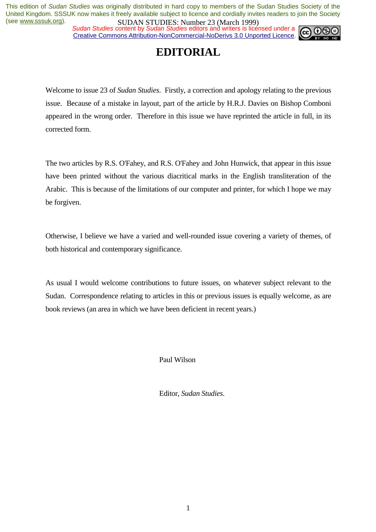*Sudan Studies* content by *Sudan Studies* editors and writers is licensed under a Creative Commons Attribution-NonCommercial-NoDerivs 3.0 Unported Licence.



### **EDITORIAL**

Welcome to issue 23 of *Sudan Studies*. Firstly, a correction and apology relating to the previous issue. Because of a mistake in layout, part of the article by H.R.J. Davies on Bishop Comboni appeared in the wrong order. Therefore in this issue we have reprinted the article in full, in its corrected form.

The two articles by R.S. O'Fahey, and R.S. O'Fahey and John Hunwick, that appear in this issue have been printed without the various diacritical marks in the English transliteration of the Arabic. This is because of the limitations of our computer and printer, for which I hope we may be forgiven.

Otherwise, I believe we have a varied and well-rounded issue covering a variety of themes, of both historical and contemporary significance.

As usual I would welcome contributions to future issues, on whatever subject relevant to the Sudan. Correspondence relating to articles in this or previous issues is equally welcome, as are book reviews (an area in which we have been deficient in recent years.)

Paul Wilson

Editor, *Sudan Studies*.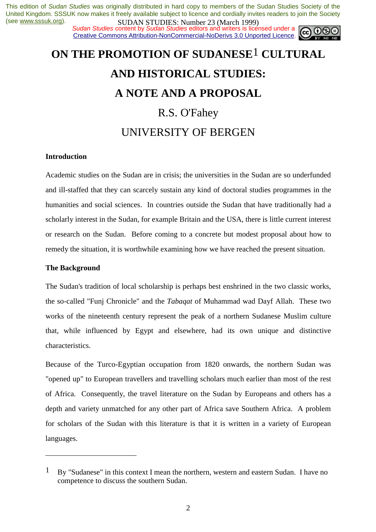**SUDAN STUDIES.** Number 25 (March 1777)<br>Sudan Studies content by Sudan Studies editors and writers is licensed under a **co. 06** Creative Commons Attribution-NonCommercial-NoDerivs 3.0 Unported Licence.



# **ON THE PROMOTION OF SUDANESE**1 **CULTURAL AND HISTORICAL STUDIES: A NOTE AND A PROPOSAL**  R.S. O'Fahey UNIVERSITY OF BERGEN

#### **Introduction**

Academic studies on the Sudan are in crisis; the universities in the Sudan are so underfunded and ill-staffed that they can scarcely sustain any kind of doctoral studies programmes in the humanities and social sciences. In countries outside the Sudan that have traditionally had a scholarly interest in the Sudan, for example Britain and the USA, there is little current interest or research on the Sudan. Before coming to a concrete but modest proposal about how to remedy the situation, it is worthwhile examining how we have reached the present situation.

#### **The Background**

 $\overline{a}$ 

The Sudan's tradition of local scholarship is perhaps best enshrined in the two classic works, the so-called "Funj Chronicle" and the *Tabaqat* of Muhammad wad Dayf Allah. These two works of the nineteenth century represent the peak of a northern Sudanese Muslim culture that, while influenced by Egypt and elsewhere, had its own unique and distinctive characteristics.

Because of the Turco-Egyptian occupation from 1820 onwards, the northern Sudan was "opened up" to European travellers and travelling scholars much earlier than most of the rest of Africa. Consequently, the travel literature on the Sudan by Europeans and others has a depth and variety unmatched for any other part of Africa save Southern Africa. A problem for scholars of the Sudan with this literature is that it is written in a variety of European languages.

<sup>1</sup> By "Sudanese" in this context I mean the northern, western and eastern Sudan. I have no competence to discuss the southern Sudan.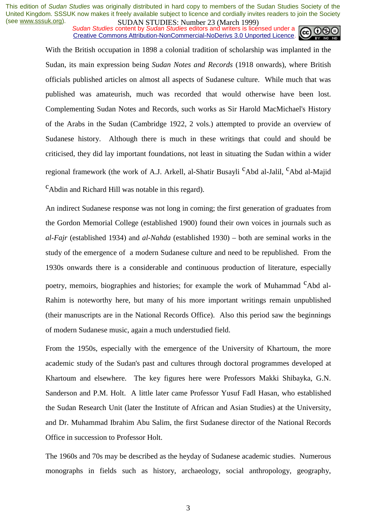**SUDAN STUDIES.** Number 25 (Water 1777)<br>Sudan Studies content by Sudan Studies editors and writers is licensed under a Creative Commons Attribution-NonCommercial-NoDerivs 3.0 Unported Licence.



With the British occupation in 1898 a colonial tradition of scholarship was implanted in the Sudan, its main expression being *Sudan Notes and Records* (1918 onwards), where British officials published articles on almost all aspects of Sudanese culture. While much that was published was amateurish, much was recorded that would otherwise have been lost. Complementing Sudan Notes and Records, such works as Sir Harold MacMichael's History of the Arabs in the Sudan (Cambridge 1922, 2 vols.) attempted to provide an overview of Sudanese history. Although there is much in these writings that could and should be criticised, they did lay important foundations, not least in situating the Sudan within a wider regional framework (the work of A.J. Arkell, al-Shatir Busayli <sup>C</sup>Abd al-Jalil, <sup>C</sup>Abd al-Majid cAbdin and Richard Hill was notable in this regard).

An indirect Sudanese response was not long in coming; the first generation of graduates from the Gordon Memorial College (established 1900) found their own voices in journals such as *al-Fajr* (established 1934) and *al-Nahda* (established 1930) – both are seminal works in the study of the emergence of a modern Sudanese culture and need to be republished. From the 1930s onwards there is a considerable and continuous production of literature, especially poetry, memoirs, biographies and histories; for example the work of Muhammad <sup>C</sup>Abd al-Rahim is noteworthy here, but many of his more important writings remain unpublished (their manuscripts are in the National Records Office). Also this period saw the beginnings of modern Sudanese music, again a much understudied field.

From the 1950s, especially with the emergence of the University of Khartoum, the more academic study of the Sudan's past and cultures through doctoral programmes developed at Khartoum and elsewhere. The key figures here were Professors Makki Shibayka, G.N. Sanderson and P.M. Holt. A little later came Professor Yusuf Fadl Hasan, who established the Sudan Research Unit (later the Institute of African and Asian Studies) at the University, and Dr. Muhammad Ibrahim Abu Salim, the first Sudanese director of the National Records Office in succession to Professor Holt.

The 1960s and 70s may be described as the heyday of Sudanese academic studies. Numerous monographs in fields such as history, archaeology, social anthropology, geography,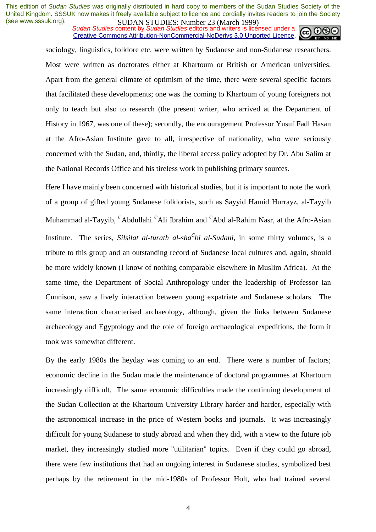*Sudan Studies* content by *Sudan Studies* editors and writers is licensed under a Creative Commons Attribution-NonCommercial-NoDerivs 3.0 Unported Licence.



sociology, linguistics, folklore etc. were written by Sudanese and non-Sudanese researchers. Most were written as doctorates either at Khartoum or British or American universities. Apart from the general climate of optimism of the time, there were several specific factors that facilitated these developments; one was the coming to Khartoum of young foreigners not only to teach but also to research (the present writer, who arrived at the Department of History in 1967, was one of these); secondly, the encouragement Professor Yusuf Fadl Hasan at the Afro-Asian Institute gave to all, irrespective of nationality, who were seriously concerned with the Sudan, and, thirdly, the liberal access policy adopted by Dr. Abu Salim at the National Records Office and his tireless work in publishing primary sources.

Here I have mainly been concerned with historical studies, but it is important to note the work of a group of gifted young Sudanese folklorists, such as Sayyid Hamid Hurrayz, al-Tayyib Muhammad al-Tayyib, <sup>c</sup>Abdullahi <sup>c</sup>Ali Ibrahim and <sup>c</sup>Abd al-Rahim Nasr, at the Afro-Asian Institute. The series, *Silsilat al-turath al-sha<sup>C</sup>bi al-Sudani*, in some thirty volumes, is a tribute to this group and an outstanding record of Sudanese local cultures and, again, should be more widely known (I know of nothing comparable elsewhere in Muslim Africa). At the same time, the Department of Social Anthropology under the leadership of Professor Ian Cunnison, saw a lively interaction between young expatriate and Sudanese scholars. The same interaction characterised archaeology, although, given the links between Sudanese archaeology and Egyptology and the role of foreign archaeological expeditions, the form it took was somewhat different.

By the early 1980s the heyday was coming to an end. There were a number of factors; economic decline in the Sudan made the maintenance of doctoral programmes at Khartoum increasingly difficult. The same economic difficulties made the continuing development of the Sudan Collection at the Khartoum University Library harder and harder, especially with the astronomical increase in the price of Western books and journals. It was increasingly difficult for young Sudanese to study abroad and when they did, with a view to the future job market, they increasingly studied more "utilitarian" topics. Even if they could go abroad, there were few institutions that had an ongoing interest in Sudanese studies, symbolized best perhaps by the retirement in the mid-1980s of Professor Holt, who had trained several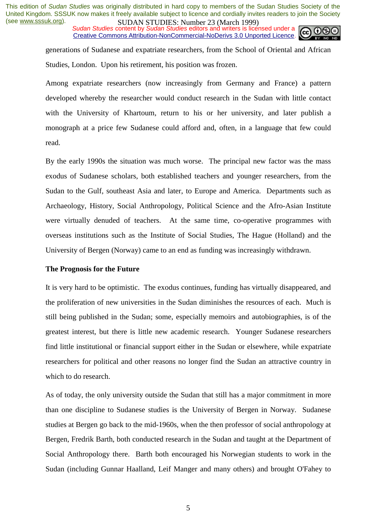*Sudan Studies* content by *Sudan Studies* editors and writers is licensed under a Creative Commons Attribution-NonCommercial-NoDerivs 3.0 Unported Licence.



generations of Sudanese and expatriate researchers, from the School of Oriental and African Studies, London. Upon his retirement, his position was frozen.

Among expatriate researchers (now increasingly from Germany and France) a pattern developed whereby the researcher would conduct research in the Sudan with little contact with the University of Khartoum, return to his or her university, and later publish a monograph at a price few Sudanese could afford and, often, in a language that few could read.

By the early 1990s the situation was much worse. The principal new factor was the mass exodus of Sudanese scholars, both established teachers and younger researchers, from the Sudan to the Gulf, southeast Asia and later, to Europe and America. Departments such as Archaeology, History, Social Anthropology, Political Science and the Afro-Asian Institute were virtually denuded of teachers. At the same time, co-operative programmes with overseas institutions such as the Institute of Social Studies, The Hague (Holland) and the University of Bergen (Norway) came to an end as funding was increasingly withdrawn.

#### **The Prognosis for the Future**

It is very hard to be optimistic. The exodus continues, funding has virtually disappeared, and the proliferation of new universities in the Sudan diminishes the resources of each. Much is still being published in the Sudan; some, especially memoirs and autobiographies, is of the greatest interest, but there is little new academic research. Younger Sudanese researchers find little institutional or financial support either in the Sudan or elsewhere, while expatriate researchers for political and other reasons no longer find the Sudan an attractive country in which to do research.

As of today, the only university outside the Sudan that still has a major commitment in more than one discipline to Sudanese studies is the University of Bergen in Norway. Sudanese studies at Bergen go back to the mid-1960s, when the then professor of social anthropology at Bergen, Fredrik Barth, both conducted research in the Sudan and taught at the Department of Social Anthropology there. Barth both encouraged his Norwegian students to work in the Sudan (including Gunnar Haalland, Leif Manger and many others) and brought O'Fahey to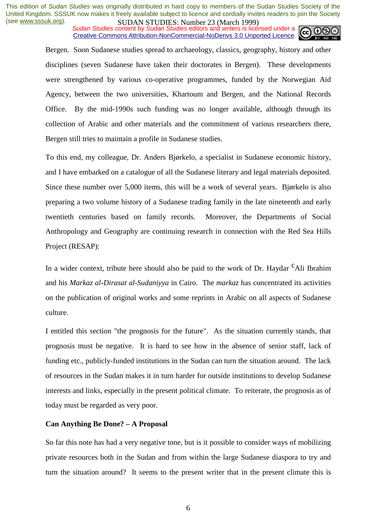*Sudan Studies* content by *Sudan Studies* editors and writers is licensed under a Creative Commons Attribution-NonCommercial-NoDerivs 3.0 Unported Licence.



Bergen. Soon Sudanese studies spread to archaeology, classics, geography, history and other disciplines (seven Sudanese have taken their doctorates in Bergen). These developments were strengthened by various co-operative programmes, funded by the Norwegian Aid Agency, between the two universities, Khartoum and Bergen, and the National Records Office. By the mid-1990s such funding was no longer available, although through its collection of Arabic and other materials and the commitment of various researchers there, Bergen still tries to maintain a profile in Sudanese studies.

To this end, my colleague, Dr. Anders Bjørkelo, a specialist in Sudanese economic history, and I have embarked on a catalogue of all the Sudanese literary and legal materials deposited. Since these number over 5,000 items, this will be a work of several years. Bjørkelo is also preparing a two volume history of a Sudanese trading family in the late nineteenth and early twentieth centuries based on family records. Moreover, the Departments of Social Anthropology and Geography are continuing research in connection with the Red Sea Hills Project (RESAP):

In a wider context, tribute here should also be paid to the work of Dr. Haydar  $c$ Ali Ibrahim and his *Markaz al-Dirasat al-Sudaniyya* in Cairo. The *markaz* has concentrated its activities on the publication of original works and some reprints in Arabic on all aspects of Sudanese culture.

I entitled this section "the prognosis for the future". As the situation currently stands, that prognosis must be negative. It is hard to see how in the absence of senior staff, lack of funding etc., publicly-funded institutions in the Sudan can turn the situation around. The lack of resources in the Sudan makes it in turn harder for outside institutions to develop Sudanese interests and links, especially in the present political climate. To reiterate, the prognosis as of today must be regarded as very poor.

#### **Can Anything Be Done? – A Proposal**

So far this note has had a very negative tone, but is it possible to consider ways of mobilizing private resources both in the Sudan and from within the large Sudanese diaspora to try and turn the situation around? It seems to the present writer that in the present climate this is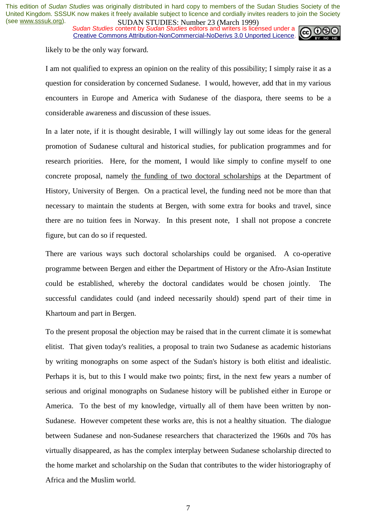**SUDAN STUDIES**: Number 25 (March 1777)<br>Sudan Studies content by Sudan Studies editors and writers is licensed under a Creative Commons Attribution-NonCommercial-NoDerivs 3.0 Unported Licence.



likely to be the only way forward.

I am not qualified to express an opinion on the reality of this possibility; I simply raise it as a question for consideration by concerned Sudanese. I would, however, add that in my various encounters in Europe and America with Sudanese of the diaspora, there seems to be a considerable awareness and discussion of these issues.

In a later note, if it is thought desirable, I will willingly lay out some ideas for the general promotion of Sudanese cultural and historical studies, for publication programmes and for research priorities. Here, for the moment, I would like simply to confine myself to one concrete proposal, namely the funding of two doctoral scholarships at the Department of History, University of Bergen. On a practical level, the funding need not be more than that necessary to maintain the students at Bergen, with some extra for books and travel, since there are no tuition fees in Norway. In this present note, I shall not propose a concrete figure, but can do so if requested.

There are various ways such doctoral scholarships could be organised. A co-operative programme between Bergen and either the Department of History or the Afro-Asian Institute could be established, whereby the doctoral candidates would be chosen jointly. The successful candidates could (and indeed necessarily should) spend part of their time in Khartoum and part in Bergen.

To the present proposal the objection may be raised that in the current climate it is somewhat elitist. That given today's realities, a proposal to train two Sudanese as academic historians by writing monographs on some aspect of the Sudan's history is both elitist and idealistic. Perhaps it is, but to this I would make two points; first, in the next few years a number of serious and original monographs on Sudanese history will be published either in Europe or America. To the best of my knowledge, virtually all of them have been written by non-Sudanese. However competent these works are, this is not a healthy situation. The dialogue between Sudanese and non-Sudanese researchers that characterized the 1960s and 70s has virtually disappeared, as has the complex interplay between Sudanese scholarship directed to the home market and scholarship on the Sudan that contributes to the wider historiography of Africa and the Muslim world.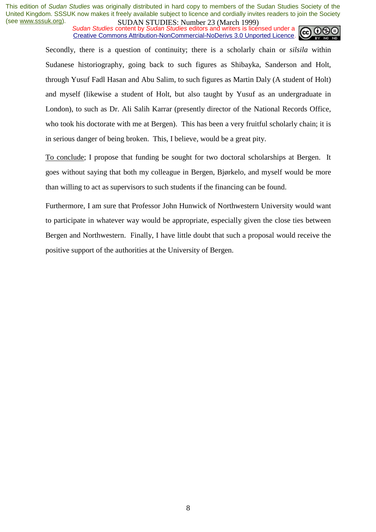*Sudan Studies* content by *Sudan Studies* editors and writers is licensed under a Creative Commons Attribution-NonCommercial-NoDerivs 3.0 Unported Licence.



Secondly, there is a question of continuity; there is a scholarly chain or *silsila* within Sudanese historiography, going back to such figures as Shibayka, Sanderson and Holt, through Yusuf Fadl Hasan and Abu Salim, to such figures as Martin Daly (A student of Holt) and myself (likewise a student of Holt, but also taught by Yusuf as an undergraduate in London), to such as Dr. Ali Salih Karrar (presently director of the National Records Office, who took his doctorate with me at Bergen). This has been a very fruitful scholarly chain; it is in serious danger of being broken. This, I believe, would be a great pity.

To conclude; I propose that funding be sought for two doctoral scholarships at Bergen. It goes without saying that both my colleague in Bergen, Bjørkelo, and myself would be more than willing to act as supervisors to such students if the financing can be found.

Furthermore, I am sure that Professor John Hunwick of Northwestern University would want to participate in whatever way would be appropriate, especially given the close ties between Bergen and Northwestern. Finally, I have little doubt that such a proposal would receive the positive support of the authorities at the University of Bergen.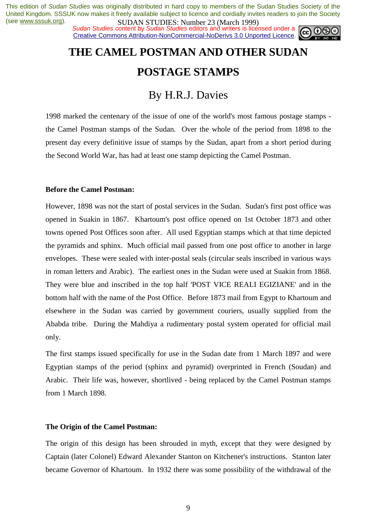**SUDAN STUDIES**: Number 25 (March 1777)<br>Sudan Studies content by Sudan Studies editors and writers is licensed under a Creative Commons Attribution-NonCommercial-NoDerivs 3.0 Unported Licence.



# **THE CAMEL POSTMAN AND OTHER SUDAN POSTAGE STAMPS**

### By H.R.J. Davies

1998 marked the centenary of the issue of one of the world's most famous postage stamps the Camel Postman stamps of the Sudan. Over the whole of the period from 1898 to the present day every definitive issue of stamps by the Sudan, apart from a short period during the Second World War, has had at least one stamp depicting the Camel Postman.

#### **Before the Camel Postman:**

However, 1898 was not the start of postal services in the Sudan. Sudan's first post office was opened in Suakin in 1867. Khartoum's post office opened on 1st October 1873 and other towns opened Post Offices soon after. All used Egyptian stamps which at that time depicted the pyramids and sphinx. Much official mail passed from one post office to another in large envelopes. These were sealed with inter-postal seals (circular seals inscribed in various ways in roman letters and Arabic). The earliest ones in the Sudan were used at Suakin from 1868. They were blue and inscribed in the top half 'POST VICE REALI EGIZIANE' and in the bottom half with the name of the Post Office. Before 1873 mail from Egypt to Khartoum and elsewhere in the Sudan was carried by government couriers, usually supplied from the Ababda tribe. During the Mahdiya a rudimentary postal system operated for official mail only.

The first stamps issued specifically for use in the Sudan date from 1 March 1897 and were Egyptian stamps of the period (sphinx and pyramid) overprinted in French (Soudan) and Arabic. Their life was, however, shortlived - being replaced by the Camel Postman stamps from 1 March 1898.

#### **The Origin of the Camel Postman:**

The origin of this design has been shrouded in myth, except that they were designed by Captain (later Colonel) Edward Alexander Stanton on Kitchener's instructions. Stanton later became Governor of Khartoum. In 1932 there was some possibility of the withdrawal of the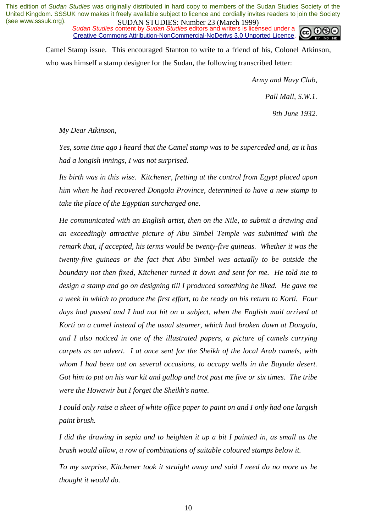*Sudan Studies* content by *Sudan Studies* editors and writers is licensed under a Creative Commons Attribution-NonCommercial-NoDerivs 3.0 Unported Licence.



Camel Stamp issue. This encouraged Stanton to write to a friend of his, Colonel Atkinson, who was himself a stamp designer for the Sudan, the following transcribed letter:

> *Army and Navy Club, Pall Mall, S.W.1. 9th June 1932.*

*My Dear Atkinson,* 

*Yes, some time ago I heard that the Camel stamp was to be superceded and, as it has had a longish innings, I was not surprised.* 

*Its birth was in this wise. Kitchener, fretting at the control from Egypt placed upon him when he had recovered Dongola Province, determined to have a new stamp to take the place of the Egyptian surcharged one.* 

*He communicated with an English artist, then on the Nile, to submit a drawing and an exceedingly attractive picture of Abu Simbel Temple was submitted with the remark that, if accepted, his terms would be twenty-five guineas. Whether it was the twenty-five guineas or the fact that Abu Simbel was actually to be outside the boundary not then fixed, Kitchener turned it down and sent for me. He told me to design a stamp and go on designing till I produced something he liked. He gave me a week in which to produce the first effort, to be ready on his return to Korti. Four days had passed and I had not hit on a subject, when the English mail arrived at Korti on a camel instead of the usual steamer, which had broken down at Dongola, and I also noticed in one of the illustrated papers, a picture of camels carrying carpets as an advert. I at once sent for the Sheikh of the local Arab camels, with whom I had been out on several occasions, to occupy wells in the Bayuda desert. Got him to put on his war kit and gallop and trot past me five or six times. The tribe were the Howawir but I forget the Sheikh's name.* 

*I could only raise a sheet of white office paper to paint on and I only had one largish paint brush.* 

*I did the drawing in sepia and to heighten it up a bit I painted in, as small as the brush would allow, a row of combinations of suitable coloured stamps below it.* 

*To my surprise, Kitchener took it straight away and said I need do no more as he thought it would do.*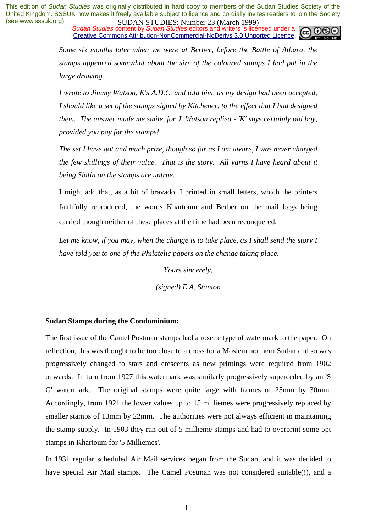*Sudan Studies* content by *Sudan Studies* editors and writers is licensed under a Creative Commons Attribution-NonCommercial-NoDerivs 3.0 Unported Licence.



*Some six months later when we were at Berber, before the Battle of Atbara, the stamps appeared somewhat about the size of the coloured stamps I had put in the large drawing.* 

*I wrote to Jimmy Watson, K's A.D.C. and told him, as my design had been accepted, I should like a set of the stamps signed by Kitchener, to the effect that I had designed them. The answer made me smile, for J. Watson replied - 'K' says certainly old boy, provided you pay for the stamps!* 

*The set I have got and much prize, though so far as I am aware, I was never charged the few shillings of their value. That is the story. All yarns I have heard about it being Slatin on the stamps are untrue.* 

I might add that, as a bit of bravado, I printed in small letters, which the printers faithfully reproduced, the words Khartoum and Berber on the mail bags being carried though neither of these places at the time had been reconquered.

Let me know, if you may, when the change is to take place, as I shall send the story I *have told you to one of the Philatelic papers on the change taking place.* 

*Yours sincerely,* 

*(signed) E.A. Stanton* 

#### **Sudan Stamps during the Condominium:**

The first issue of the Camel Postman stamps had a rosette type of watermark to the paper. On reflection, this was thought to be too close to a cross for a Moslem northern Sudan and so was progressively changed to stars and crescents as new printings were required from 1902 onwards. In turn from 1927 this watermark was similarly progressively superceded by an 'S G' watermark. The original stamps were quite large with frames of 25mm by 30mm. Accordingly, from 1921 the lower values up to 15 milliemes were progressively replaced by smaller stamps of 13mm by 22mm. The authorities were not always efficient in maintaining the stamp supply. In 1903 they ran out of 5 millieme stamps and had to overprint some 5pt stamps in Khartoum for '5 Milliemes'.

In 1931 regular scheduled Air Mail services began from the Sudan, and it was decided to have special Air Mail stamps. The Camel Postman was not considered suitable(!), and a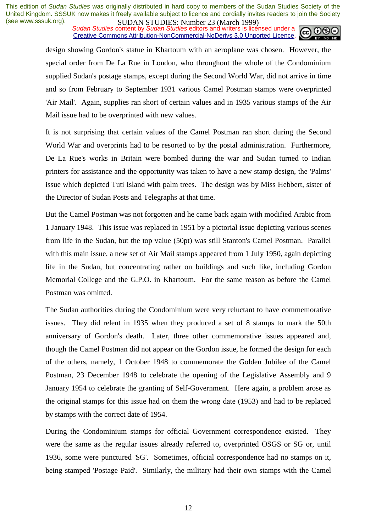**SUDAN STUDIES. NUTTER 20 (WALK 1999)**<br>Sudan Studies content by Sudan Studies editors and writers is licensed under a Creative Commons Attribution-NonCommercial-NoDerivs 3.0 Unported Licence.



design showing Gordon's statue in Khartoum with an aeroplane was chosen. However, the special order from De La Rue in London, who throughout the whole of the Condominium supplied Sudan's postage stamps, except during the Second World War, did not arrive in time and so from February to September 1931 various Camel Postman stamps were overprinted 'Air Mail'. Again, supplies ran short of certain values and in 1935 various stamps of the Air Mail issue had to be overprinted with new values.

It is not surprising that certain values of the Camel Postman ran short during the Second World War and overprints had to be resorted to by the postal administration. Furthermore, De La Rue's works in Britain were bombed during the war and Sudan turned to Indian printers for assistance and the opportunity was taken to have a new stamp design, the 'Palms' issue which depicted Tuti Island with palm trees. The design was by Miss Hebbert, sister of the Director of Sudan Posts and Telegraphs at that time.

But the Camel Postman was not forgotten and he came back again with modified Arabic from 1 January 1948. This issue was replaced in 1951 by a pictorial issue depicting various scenes from life in the Sudan, but the top value (50pt) was still Stanton's Camel Postman. Parallel with this main issue, a new set of Air Mail stamps appeared from 1 July 1950, again depicting life in the Sudan, but concentrating rather on buildings and such like, including Gordon Memorial College and the G.P.O. in Khartoum. For the same reason as before the Camel Postman was omitted.

The Sudan authorities during the Condominium were very reluctant to have commemorative issues. They did relent in 1935 when they produced a set of 8 stamps to mark the 50th anniversary of Gordon's death. Later, three other commemorative issues appeared and, though the Camel Postman did not appear on the Gordon issue, he formed the design for each of the others, namely, 1 October 1948 to commemorate the Golden Jubilee of the Camel Postman, 23 December 1948 to celebrate the opening of the Legislative Assembly and 9 January 1954 to celebrate the granting of Self-Government. Here again, a problem arose as the original stamps for this issue had on them the wrong date (1953) and had to be replaced by stamps with the correct date of 1954.

During the Condominium stamps for official Government correspondence existed. They were the same as the regular issues already referred to, overprinted OSGS or SG or, until 1936, some were punctured 'SG'. Sometimes, official correspondence had no stamps on it, being stamped 'Postage Paid'. Similarly, the military had their own stamps with the Camel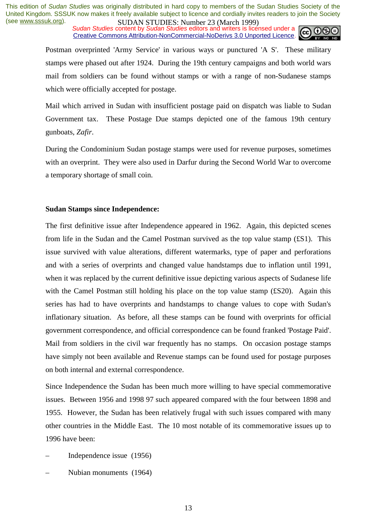**SUDAN STUDIES:** Number 23 (March 1777)<br>Sudan Studies content by Sudan Studies editors and writers is licensed under a **cc Cc** Creative Commons Attribution-NonCommercial-NoDerivs 3.0 Unported Licence.



Postman overprinted 'Army Service' in various ways or punctured 'A S'. These military stamps were phased out after 1924. During the 19th century campaigns and both world wars mail from soldiers can be found without stamps or with a range of non-Sudanese stamps which were officially accepted for postage.

Mail which arrived in Sudan with insufficient postage paid on dispatch was liable to Sudan Government tax. These Postage Due stamps depicted one of the famous 19th century gunboats, *Zafir*.

During the Condominium Sudan postage stamps were used for revenue purposes, sometimes with an overprint. They were also used in Darfur during the Second World War to overcome a temporary shortage of small coin.

#### **Sudan Stamps since Independence:**

The first definitive issue after Independence appeared in 1962. Again, this depicted scenes from life in the Sudan and the Camel Postman survived as the top value stamp (£S1). This issue survived with value alterations, different watermarks, type of paper and perforations and with a series of overprints and changed value handstamps due to inflation until 1991, when it was replaced by the current definitive issue depicting various aspects of Sudanese life with the Camel Postman still holding his place on the top value stamp (£S20). Again this series has had to have overprints and handstamps to change values to cope with Sudan's inflationary situation. As before, all these stamps can be found with overprints for official government correspondence, and official correspondence can be found franked 'Postage Paid'. Mail from soldiers in the civil war frequently has no stamps. On occasion postage stamps have simply not been available and Revenue stamps can be found used for postage purposes on both internal and external correspondence.

Since Independence the Sudan has been much more willing to have special commemorative issues. Between 1956 and 1998 97 such appeared compared with the four between 1898 and 1955. However, the Sudan has been relatively frugal with such issues compared with many other countries in the Middle East. The 10 most notable of its commemorative issues up to 1996 have been:

- Independence issue (1956)
- Nubian monuments (1964)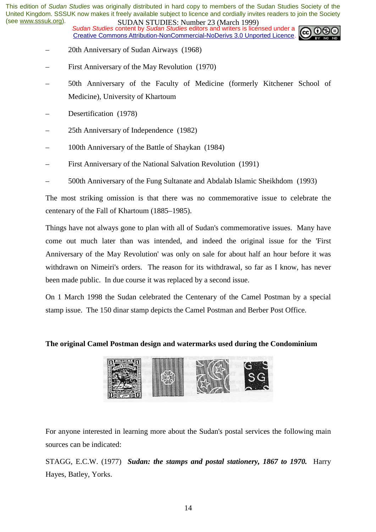**SUDAN STUDIES. NUTTER 20 (WALK 1999)**<br>Sudan Studies content by Sudan Studies editors and writers is licensed under a Creative Commons Attribution-NonCommercial-NoDerivs 3.0 Unported Licence.



- 20th Anniversary of Sudan Airways (1968)
- First Anniversary of the May Revolution (1970)
- 50th Anniversary of the Faculty of Medicine (formerly Kitchener School of Medicine), University of Khartoum
- Desertification (1978)
- 25th Anniversary of Independence (1982)
- 100th Anniversary of the Battle of Shaykan (1984)
- First Anniversary of the National Salvation Revolution (1991)
- 500th Anniversary of the Fung Sultanate and Abdalab Islamic Sheikhdom (1993)

The most striking omission is that there was no commemorative issue to celebrate the centenary of the Fall of Khartoum (1885–1985).

Things have not always gone to plan with all of Sudan's commemorative issues. Many have come out much later than was intended, and indeed the original issue for the 'First Anniversary of the May Revolution' was only on sale for about half an hour before it was withdrawn on Nimeiri's orders. The reason for its withdrawal, so far as I know, has never been made public. In due course it was replaced by a second issue.

On 1 March 1998 the Sudan celebrated the Centenary of the Camel Postman by a special stamp issue. The 150 dinar stamp depicts the Camel Postman and Berber Post Office.

#### **The original Camel Postman design and watermarks used during the Condominium**



For anyone interested in learning more about the Sudan's postal services the following main sources can be indicated:

STAGG, E.C.W. (1977) *Sudan: the stamps and postal stationery, 1867 to 1970.* Harry Hayes, Batley, Yorks.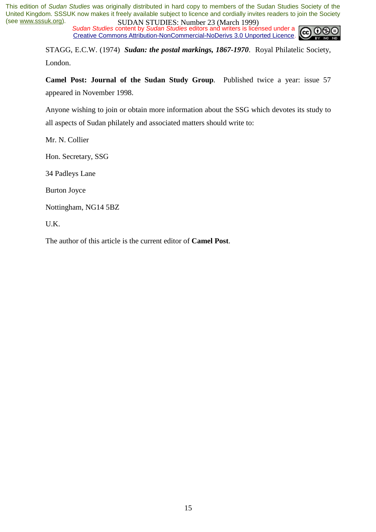*Sudan Studies* content by *Sudan Studies* editors and writers is licensed under a CC. Creative Commons Attribution-NonCommercial-NoDerivs 3.0 Unported Licence.

STAGG, E.C.W. (1974) *Sudan: the postal markings, 1867-1970*. Royal Philatelic Society, London.

**Camel Post: Journal of the Sudan Study Group***.* Published twice a year: issue 57 appeared in November 1998.

Anyone wishing to join or obtain more information about the SSG which devotes its study to all aspects of Sudan philately and associated matters should write to:

Mr. N. Collier

Hon. Secretary, SSG

34 Padleys Lane

Burton Joyce

Nottingham, NG14 5BZ

U.K.

The author of this article is the current editor of **Camel Post**.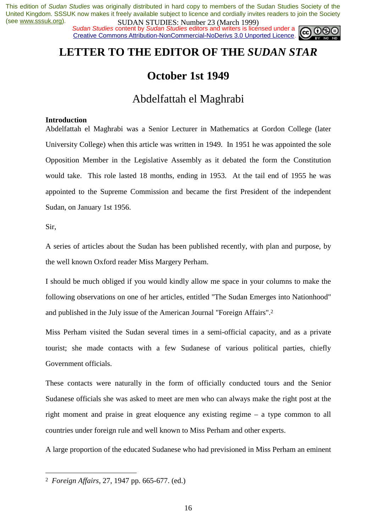*Sudan Studies* content by *Sudan Studies* editors and writers is licensed under a Creative Commons Attribution-NonCommercial-NoDerivs 3.0 Unported Licence.



### **LETTER TO THE EDITOR OF THE** *SUDAN STAR*

### **October 1st 1949**

### Abdelfattah el Maghrabi

#### **Introduction**

Abdelfattah el Maghrabi was a Senior Lecturer in Mathematics at Gordon College (later University College) when this article was written in 1949. In 1951 he was appointed the sole Opposition Member in the Legislative Assembly as it debated the form the Constitution would take. This role lasted 18 months, ending in 1953. At the tail end of 1955 he was appointed to the Supreme Commission and became the first President of the independent Sudan, on January 1st 1956.

Sir,

 $\overline{a}$ 

A series of articles about the Sudan has been published recently, with plan and purpose, by the well known Oxford reader Miss Margery Perham.

I should be much obliged if you would kindly allow me space in your columns to make the following observations on one of her articles, entitled "The Sudan Emerges into Nationhood" and published in the July issue of the American Journal "Foreign Affairs".2

Miss Perham visited the Sudan several times in a semi-official capacity, and as a private tourist; she made contacts with a few Sudanese of various political parties, chiefly Government officials.

These contacts were naturally in the form of officially conducted tours and the Senior Sudanese officials she was asked to meet are men who can always make the right post at the right moment and praise in great eloquence any existing regime – a type common to all countries under foreign rule and well known to Miss Perham and other experts.

A large proportion of the educated Sudanese who had previsioned in Miss Perham an eminent

<sup>2</sup> *Foreign Affairs*, 27, 1947 pp. 665-677. (ed.)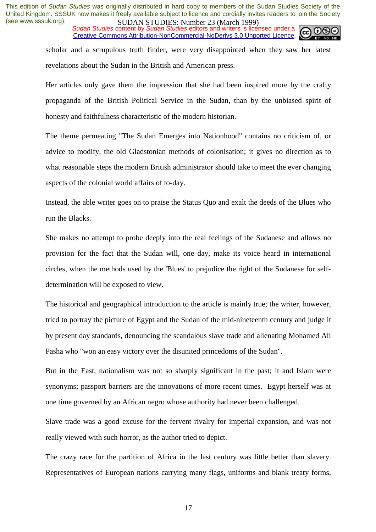*Sudan Studies* content by *Sudan Studies* editors and writers is licensed under a Creative Commons Attribution-NonCommercial-NoDerivs 3.0 Unported Licence.



scholar and a scrupulous truth finder, were very disappointed when they saw her latest revelations about the Sudan in the British and American press.

Her articles only gave them the impression that she had been inspired more by the crafty propaganda of the British Political Service in the Sudan, than by the unbiased spirit of honesty and faithfulness characteristic of the modern historian.

The theme permeating "The Sudan Emerges into Nationhood" contains no criticism of, or advice to modify, the old Gladstonian methods of colonisation; it gives no direction as to what reasonable steps the modern British administrator should take to meet the ever changing aspects of the colonial world affairs of to-day.

Instead, the able writer goes on to praise the Status Quo and exalt the deeds of the Blues who run the Blacks.

She makes no attempt to probe deeply into the real feelings of the Sudanese and allows no provision for the fact that the Sudan will, one day, make its voice heard in international circles, when the methods used by the 'Blues' to prejudice the right of the Sudanese for selfdetermination will be exposed to view.

The historical and geographical introduction to the article is mainly true; the writer, however, tried to portray the picture of Egypt and the Sudan of the mid-nineteenth century and judge it by present day standards, denouncing the scandalous slave trade and alienating Mohamed Ali Pasha who "won an easy victory over the disunited princedoms of the Sudan".

But in the East, nationalism was not so sharply significant in the past; it and Islam were synonyms; passport barriers are the innovations of more recent times. Egypt herself was at one time governed by an African negro whose authority had never been challenged.

Slave trade was a good excuse for the fervent rivalry for imperial expansion, and was not really viewed with such horror, as the author tried to depict.

The crazy race for the partition of Africa in the last century was little better than slavery. Representatives of European nations carrying many flags, uniforms and blank treaty forms,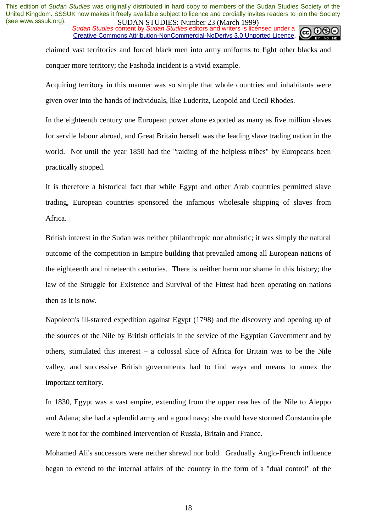*Sudan Studies* content by *Sudan Studies* editors and writers is licensed under a Creative Commons Attribution-NonCommercial-NoDerivs 3.0 Unported Licence.



claimed vast territories and forced black men into army uniforms to fight other blacks and conquer more territory; the Fashoda incident is a vivid example.

Acquiring territory in this manner was so simple that whole countries and inhabitants were given over into the hands of individuals, like Luderitz, Leopold and Cecil Rhodes.

In the eighteenth century one European power alone exported as many as five million slaves for servile labour abroad, and Great Britain herself was the leading slave trading nation in the world. Not until the year 1850 had the "raiding of the helpless tribes" by Europeans been practically stopped.

It is therefore a historical fact that while Egypt and other Arab countries permitted slave trading, European countries sponsored the infamous wholesale shipping of slaves from Africa.

British interest in the Sudan was neither philanthropic nor altruistic; it was simply the natural outcome of the competition in Empire building that prevailed among all European nations of the eighteenth and nineteenth centuries. There is neither harm nor shame in this history; the law of the Struggle for Existence and Survival of the Fittest had been operating on nations then as it is now.

Napoleon's ill-starred expedition against Egypt (1798) and the discovery and opening up of the sources of the Nile by British officials in the service of the Egyptian Government and by others, stimulated this interest – a colossal slice of Africa for Britain was to be the Nile valley, and successive British governments had to find ways and means to annex the important territory.

In 1830, Egypt was a vast empire, extending from the upper reaches of the Nile to Aleppo and Adana; she had a splendid army and a good navy; she could have stormed Constantinople were it not for the combined intervention of Russia, Britain and France.

Mohamed Ali's successors were neither shrewd nor bold. Gradually Anglo-French influence began to extend to the internal affairs of the country in the form of a "dual control" of the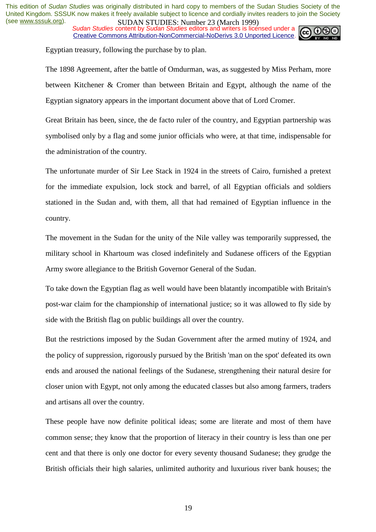**SUDAN STUDIES.** Number 25 (March 1777)<br>Sudan Studies content by Sudan Studies editors and writers is licensed under a Creative Commons Attribution-NonCommercial-NoDerivs 3.0 Unported Licence.



Egyptian treasury, following the purchase by to plan.

The 1898 Agreement, after the battle of Omdurman, was, as suggested by Miss Perham, more between Kitchener & Cromer than between Britain and Egypt, although the name of the Egyptian signatory appears in the important document above that of Lord Cromer.

Great Britain has been, since, the de facto ruler of the country, and Egyptian partnership was symbolised only by a flag and some junior officials who were, at that time, indispensable for the administration of the country.

The unfortunate murder of Sir Lee Stack in 1924 in the streets of Cairo, furnished a pretext for the immediate expulsion, lock stock and barrel, of all Egyptian officials and soldiers stationed in the Sudan and, with them, all that had remained of Egyptian influence in the country.

The movement in the Sudan for the unity of the Nile valley was temporarily suppressed, the military school in Khartoum was closed indefinitely and Sudanese officers of the Egyptian Army swore allegiance to the British Governor General of the Sudan.

To take down the Egyptian flag as well would have been blatantly incompatible with Britain's post-war claim for the championship of international justice; so it was allowed to fly side by side with the British flag on public buildings all over the country.

But the restrictions imposed by the Sudan Government after the armed mutiny of 1924, and the policy of suppression, rigorously pursued by the British 'man on the spot' defeated its own ends and aroused the national feelings of the Sudanese, strengthening their natural desire for closer union with Egypt, not only among the educated classes but also among farmers, traders and artisans all over the country.

These people have now definite political ideas; some are literate and most of them have common sense; they know that the proportion of literacy in their country is less than one per cent and that there is only one doctor for every seventy thousand Sudanese; they grudge the British officials their high salaries, unlimited authority and luxurious river bank houses; the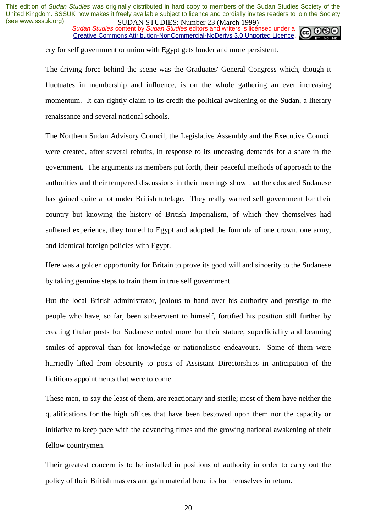*Sudan Studies* content by *Sudan Studies* editors and writers is licensed under a Creative Commons Attribution-NonCommercial-NoDerivs 3.0 Unported Licence.



cry for self government or union with Egypt gets louder and more persistent.

The driving force behind the scene was the Graduates' General Congress which, though it fluctuates in membership and influence, is on the whole gathering an ever increasing momentum. It can rightly claim to its credit the political awakening of the Sudan, a literary renaissance and several national schools.

The Northern Sudan Advisory Council, the Legislative Assembly and the Executive Council were created, after several rebuffs, in response to its unceasing demands for a share in the government. The arguments its members put forth, their peaceful methods of approach to the authorities and their tempered discussions in their meetings show that the educated Sudanese has gained quite a lot under British tutelage. They really wanted self government for their country but knowing the history of British Imperialism, of which they themselves had suffered experience, they turned to Egypt and adopted the formula of one crown, one army, and identical foreign policies with Egypt.

Here was a golden opportunity for Britain to prove its good will and sincerity to the Sudanese by taking genuine steps to train them in true self government.

But the local British administrator, jealous to hand over his authority and prestige to the people who have, so far, been subservient to himself, fortified his position still further by creating titular posts for Sudanese noted more for their stature, superficiality and beaming smiles of approval than for knowledge or nationalistic endeavours. Some of them were hurriedly lifted from obscurity to posts of Assistant Directorships in anticipation of the fictitious appointments that were to come.

These men, to say the least of them, are reactionary and sterile; most of them have neither the qualifications for the high offices that have been bestowed upon them nor the capacity or initiative to keep pace with the advancing times and the growing national awakening of their fellow countrymen.

Their greatest concern is to be installed in positions of authority in order to carry out the policy of their British masters and gain material benefits for themselves in return.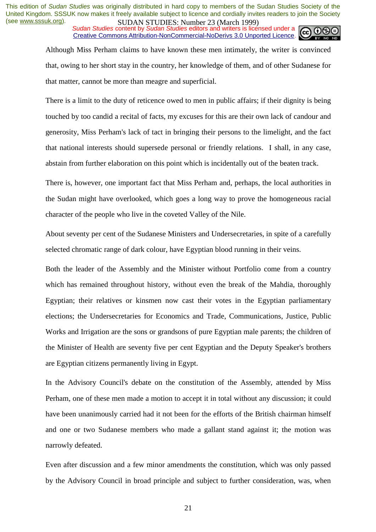*Sudan Studies* content by *Sudan Studies* editors and writers is licensed under a Creative Commons Attribution-NonCommercial-NoDerivs 3.0 Unported Licence.



Although Miss Perham claims to have known these men intimately, the writer is convinced that, owing to her short stay in the country, her knowledge of them, and of other Sudanese for that matter, cannot be more than meagre and superficial.

There is a limit to the duty of reticence owed to men in public affairs; if their dignity is being touched by too candid a recital of facts, my excuses for this are their own lack of candour and generosity, Miss Perham's lack of tact in bringing their persons to the limelight, and the fact that national interests should supersede personal or friendly relations. I shall, in any case, abstain from further elaboration on this point which is incidentally out of the beaten track.

There is, however, one important fact that Miss Perham and, perhaps, the local authorities in the Sudan might have overlooked, which goes a long way to prove the homogeneous racial character of the people who live in the coveted Valley of the Nile.

About seventy per cent of the Sudanese Ministers and Undersecretaries, in spite of a carefully selected chromatic range of dark colour, have Egyptian blood running in their veins.

Both the leader of the Assembly and the Minister without Portfolio come from a country which has remained throughout history, without even the break of the Mahdia, thoroughly Egyptian; their relatives or kinsmen now cast their votes in the Egyptian parliamentary elections; the Undersecretaries for Economics and Trade, Communications, Justice, Public Works and Irrigation are the sons or grandsons of pure Egyptian male parents; the children of the Minister of Health are seventy five per cent Egyptian and the Deputy Speaker's brothers are Egyptian citizens permanently living in Egypt.

In the Advisory Council's debate on the constitution of the Assembly, attended by Miss Perham, one of these men made a motion to accept it in total without any discussion; it could have been unanimously carried had it not been for the efforts of the British chairman himself and one or two Sudanese members who made a gallant stand against it; the motion was narrowly defeated.

Even after discussion and a few minor amendments the constitution, which was only passed by the Advisory Council in broad principle and subject to further consideration, was, when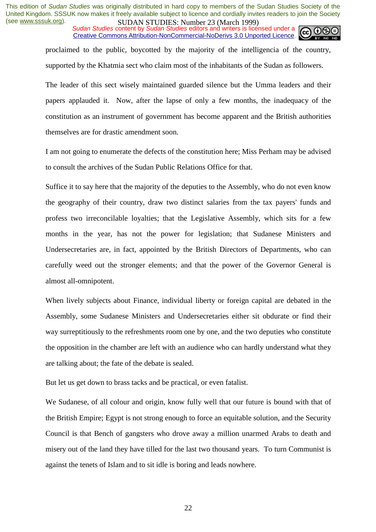*Sudan Studies* content by *Sudan Studies* editors and writers is licensed under a Creative Commons Attribution-NonCommercial-NoDerivs 3.0 Unported Licence.



proclaimed to the public, boycotted by the majority of the intelligencia of the country, supported by the Khatmia sect who claim most of the inhabitants of the Sudan as followers.

The leader of this sect wisely maintained guarded silence but the Umma leaders and their papers applauded it. Now, after the lapse of only a few months, the inadequacy of the constitution as an instrument of government has become apparent and the British authorities themselves are for drastic amendment soon.

I am not going to enumerate the defects of the constitution here; Miss Perham may be advised to consult the archives of the Sudan Public Relations Office for that.

Suffice it to say here that the majority of the deputies to the Assembly, who do not even know the geography of their country, draw two distinct salaries from the tax payers' funds and profess two irreconcilable loyalties; that the Legislative Assembly, which sits for a few months in the year, has not the power for legislation; that Sudanese Ministers and Undersecretaries are, in fact, appointed by the British Directors of Departments, who can carefully weed out the stronger elements; and that the power of the Governor General is almost all-omnipotent.

When lively subjects about Finance, individual liberty or foreign capital are debated in the Assembly, some Sudanese Ministers and Undersecretaries either sit obdurate or find their way surreptitiously to the refreshments room one by one, and the two deputies who constitute the opposition in the chamber are left with an audience who can hardly understand what they are talking about; the fate of the debate is sealed.

But let us get down to brass tacks and be practical, or even fatalist.

We Sudanese, of all colour and origin, know fully well that our future is bound with that of the British Empire; Egypt is not strong enough to force an equitable solution, and the Security Council is that Bench of gangsters who drove away a million unarmed Arabs to death and misery out of the land they have tilled for the last two thousand years. To turn Communist is against the tenets of Islam and to sit idle is boring and leads nowhere.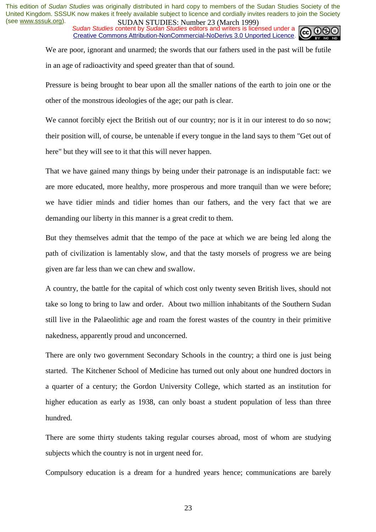*Sudan Studies* content by *Sudan Studies* editors and writers is licensed under a Creative Commons Attribution-NonCommercial-NoDerivs 3.0 Unported Licence.



We are poor, ignorant and unarmed; the swords that our fathers used in the past will be futile in an age of radioactivity and speed greater than that of sound.

Pressure is being brought to bear upon all the smaller nations of the earth to join one or the other of the monstrous ideologies of the age; our path is clear.

We cannot forcibly eject the British out of our country; nor is it in our interest to do so now; their position will, of course, be untenable if every tongue in the land says to them "Get out of here" but they will see to it that this will never happen.

That we have gained many things by being under their patronage is an indisputable fact: we are more educated, more healthy, more prosperous and more tranquil than we were before; we have tidier minds and tidier homes than our fathers, and the very fact that we are demanding our liberty in this manner is a great credit to them.

But they themselves admit that the tempo of the pace at which we are being led along the path of civilization is lamentably slow, and that the tasty morsels of progress we are being given are far less than we can chew and swallow.

A country, the battle for the capital of which cost only twenty seven British lives, should not take so long to bring to law and order. About two million inhabitants of the Southern Sudan still live in the Palaeolithic age and roam the forest wastes of the country in their primitive nakedness, apparently proud and unconcerned.

There are only two government Secondary Schools in the country; a third one is just being started. The Kitchener School of Medicine has turned out only about one hundred doctors in a quarter of a century; the Gordon University College, which started as an institution for higher education as early as 1938, can only boast a student population of less than three hundred.

There are some thirty students taking regular courses abroad, most of whom are studying subjects which the country is not in urgent need for.

Compulsory education is a dream for a hundred years hence; communications are barely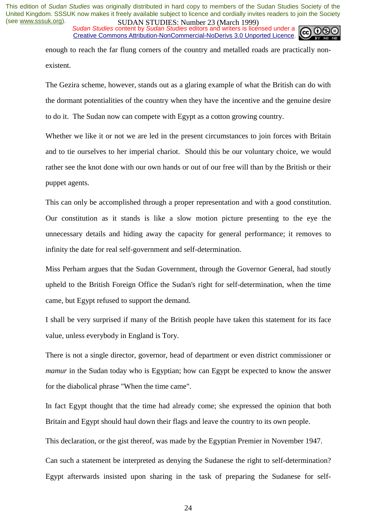*Sudan Studies* content by *Sudan Studies* editors and writers is licensed under a Creative Commons Attribution-NonCommercial-NoDerivs 3.0 Unported Licence.

enough to reach the far flung corners of the country and metalled roads are practically nonexistent.

The Gezira scheme, however, stands out as a glaring example of what the British can do with the dormant potentialities of the country when they have the incentive and the genuine desire to do it. The Sudan now can compete with Egypt as a cotton growing country.

Whether we like it or not we are led in the present circumstances to join forces with Britain and to tie ourselves to her imperial chariot. Should this be our voluntary choice, we would rather see the knot done with our own hands or out of our free will than by the British or their puppet agents.

This can only be accomplished through a proper representation and with a good constitution. Our constitution as it stands is like a slow motion picture presenting to the eye the unnecessary details and hiding away the capacity for general performance; it removes to infinity the date for real self-government and self-determination.

Miss Perham argues that the Sudan Government, through the Governor General, had stoutly upheld to the British Foreign Office the Sudan's right for self-determination, when the time came, but Egypt refused to support the demand.

I shall be very surprised if many of the British people have taken this statement for its face value, unless everybody in England is Tory.

There is not a single director, governor, head of department or even district commissioner or *mamur* in the Sudan today who is Egyptian; how can Egypt be expected to know the answer for the diabolical phrase "When the time came".

In fact Egypt thought that the time had already come; she expressed the opinion that both Britain and Egypt should haul down their flags and leave the country to its own people.

This declaration, or the gist thereof, was made by the Egyptian Premier in November 1947.

Can such a statement be interpreted as denying the Sudanese the right to self-determination? Egypt afterwards insisted upon sharing in the task of preparing the Sudanese for self-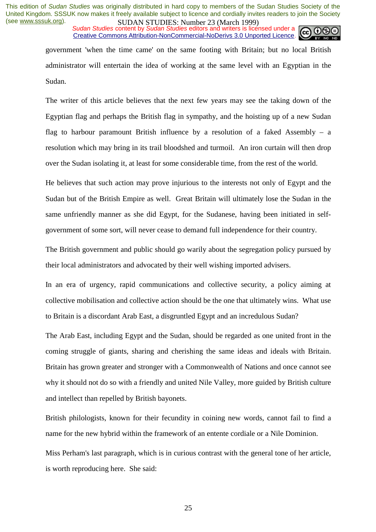*Sudan Studies* content by *Sudan Studies* editors and writers is licensed under a Creative Commons Attribution-NonCommercial-NoDerivs 3.0 Unported Licence.

government 'when the time came' on the same footing with Britain; but no local British administrator will entertain the idea of working at the same level with an Egyptian in the Sudan.

The writer of this article believes that the next few years may see the taking down of the Egyptian flag and perhaps the British flag in sympathy, and the hoisting up of a new Sudan flag to harbour paramount British influence by a resolution of a faked Assembly  $-$  a resolution which may bring in its trail bloodshed and turmoil. An iron curtain will then drop over the Sudan isolating it, at least for some considerable time, from the rest of the world.

He believes that such action may prove injurious to the interests not only of Egypt and the Sudan but of the British Empire as well. Great Britain will ultimately lose the Sudan in the same unfriendly manner as she did Egypt, for the Sudanese, having been initiated in selfgovernment of some sort, will never cease to demand full independence for their country.

The British government and public should go warily about the segregation policy pursued by their local administrators and advocated by their well wishing imported advisers.

In an era of urgency, rapid communications and collective security, a policy aiming at collective mobilisation and collective action should be the one that ultimately wins. What use to Britain is a discordant Arab East, a disgruntled Egypt and an incredulous Sudan?

The Arab East, including Egypt and the Sudan, should be regarded as one united front in the coming struggle of giants, sharing and cherishing the same ideas and ideals with Britain. Britain has grown greater and stronger with a Commonwealth of Nations and once cannot see why it should not do so with a friendly and united Nile Valley, more guided by British culture and intellect than repelled by British bayonets.

British philologists, known for their fecundity in coining new words, cannot fail to find a name for the new hybrid within the framework of an entente cordiale or a Nile Dominion.

Miss Perham's last paragraph, which is in curious contrast with the general tone of her article, is worth reproducing here. She said: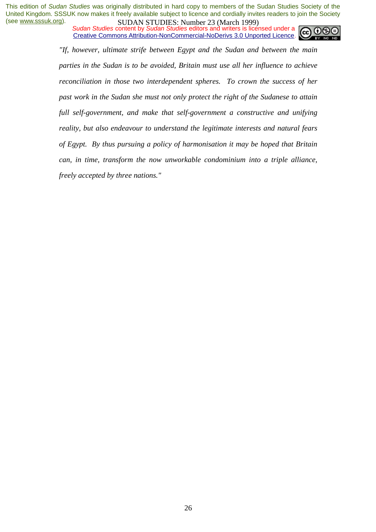*Sudan Studies* content by *Sudan Studies* editors and writers is licensed under a Creative Commons Attribution-NonCommercial-NoDerivs 3.0 Unported Licence.



*"If, however, ultimate strife between Egypt and the Sudan and between the main parties in the Sudan is to be avoided, Britain must use all her influence to achieve reconciliation in those two interdependent spheres. To crown the success of her past work in the Sudan she must not only protect the right of the Sudanese to attain full self-government, and make that self-government a constructive and unifying reality, but also endeavour to understand the legitimate interests and natural fears of Egypt. By thus pursuing a policy of harmonisation it may be hoped that Britain can, in time, transform the now unworkable condominium into a triple alliance, freely accepted by three nations."*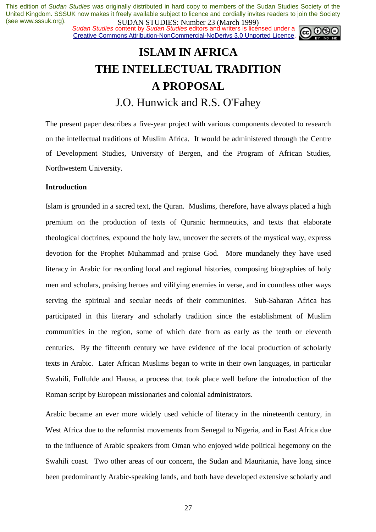**SUDAN STUDIES. NUTTER 20 (WALK 1999)**<br>Sudan Studies content by Sudan Studies editors and writers is licensed under a Creative Commons Attribution-NonCommercial-NoDerivs 3.0 Unported Licence.



## **ISLAM IN AFRICA THE INTELLECTUAL TRADITION A PROPOSAL**

J.O. Hunwick and R.S. O'Fahey

The present paper describes a five-year project with various components devoted to research on the intellectual traditions of Muslim Africa. It would be administered through the Centre of Development Studies, University of Bergen, and the Program of African Studies, Northwestern University.

#### **Introduction**

Islam is grounded in a sacred text, the Quran. Muslims, therefore, have always placed a high premium on the production of texts of Quranic hermneutics, and texts that elaborate theological doctrines, expound the holy law, uncover the secrets of the mystical way, express devotion for the Prophet Muhammad and praise God. More mundanely they have used literacy in Arabic for recording local and regional histories, composing biographies of holy men and scholars, praising heroes and vilifying enemies in verse, and in countless other ways serving the spiritual and secular needs of their communities. Sub-Saharan Africa has participated in this literary and scholarly tradition since the establishment of Muslim communities in the region, some of which date from as early as the tenth or eleventh centuries. By the fifteenth century we have evidence of the local production of scholarly texts in Arabic. Later African Muslims began to write in their own languages, in particular Swahili, Fulfulde and Hausa, a process that took place well before the introduction of the Roman script by European missionaries and colonial administrators.

Arabic became an ever more widely used vehicle of literacy in the nineteenth century, in West Africa due to the reformist movements from Senegal to Nigeria, and in East Africa due to the influence of Arabic speakers from Oman who enjoyed wide political hegemony on the Swahili coast. Two other areas of our concern, the Sudan and Mauritania, have long since been predominantly Arabic-speaking lands, and both have developed extensive scholarly and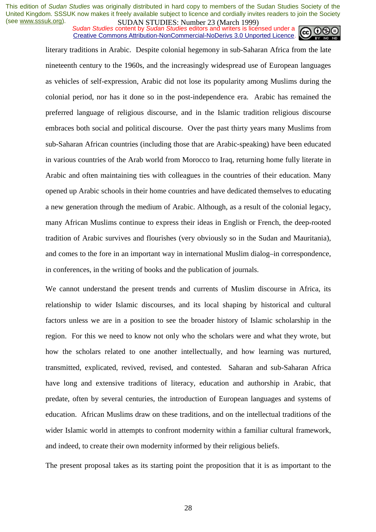*Sudan Studies* content by *Sudan Studies* editors and writers is licensed under a Creative Commons Attribution-NonCommercial-NoDerivs 3.0 Unported Licence.



literary traditions in Arabic. Despite colonial hegemony in sub-Saharan Africa from the late nineteenth century to the 1960s, and the increasingly widespread use of European languages as vehicles of self-expression, Arabic did not lose its popularity among Muslims during the colonial period, nor has it done so in the post-independence era. Arabic has remained the preferred language of religious discourse, and in the Islamic tradition religious discourse embraces both social and political discourse. Over the past thirty years many Muslims from sub-Saharan African countries (including those that are Arabic-speaking) have been educated in various countries of the Arab world from Morocco to Iraq, returning home fully literate in Arabic and often maintaining ties with colleagues in the countries of their education. Many opened up Arabic schools in their home countries and have dedicated themselves to educating a new generation through the medium of Arabic. Although, as a result of the colonial legacy, many African Muslims continue to express their ideas in English or French, the deep-rooted tradition of Arabic survives and flourishes (very obviously so in the Sudan and Mauritania), and comes to the fore in an important way in international Muslim dialog–in correspondence, in conferences, in the writing of books and the publication of journals.

We cannot understand the present trends and currents of Muslim discourse in Africa, its relationship to wider Islamic discourses, and its local shaping by historical and cultural factors unless we are in a position to see the broader history of Islamic scholarship in the region. For this we need to know not only who the scholars were and what they wrote, but how the scholars related to one another intellectually, and how learning was nurtured, transmitted, explicated, revived, revised, and contested. Saharan and sub-Saharan Africa have long and extensive traditions of literacy, education and authorship in Arabic, that predate, often by several centuries, the introduction of European languages and systems of education. African Muslims draw on these traditions, and on the intellectual traditions of the wider Islamic world in attempts to confront modernity within a familiar cultural framework, and indeed, to create their own modernity informed by their religious beliefs.

The present proposal takes as its starting point the proposition that it is as important to the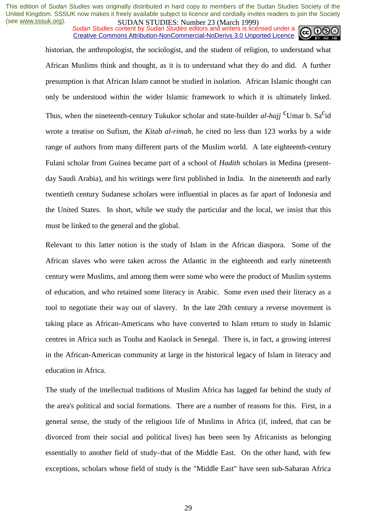*Sudan Studies* content by *Sudan Studies* editors and writers is licensed under a Creative Commons Attribution-NonCommercial-NoDerivs 3.0 Unported Licence.



historian, the anthropologist, the sociologist, and the student of religion, to understand what African Muslims think and thought, as it is to understand what they do and did. A further presumption is that African Islam cannot be studied in isolation. African Islamic thought can only be understood within the wider Islamic framework to which it is ultimately linked. Thus, when the nineteenth-century Tukukor scholar and state-builder  $al$ -hajj <sup>c</sup>Umar b. Sa<sup>c</sup>id wrote a treatise on Sufism, the *Kitab al-rimah*, he cited no less than 123 works by a wide range of authors from many different parts of the Muslim world. A late eighteenth-century Fulani scholar from Guinea became part of a school of *Hadith* scholars in Medina (presentday Saudi Arabia), and his writings were first published in India. In the nineteenth and early twentieth century Sudanese scholars were influential in places as far apart of Indonesia and the United States. In short, while we study the particular and the local, we insist that this must be linked to the general and the global.

Relevant to this latter notion is the study of Islam in the African diaspora. Some of the African slaves who were taken across the Atlantic in the eighteenth and early nineteenth century were Muslims, and among them were some who were the product of Muslim systems of education, and who retained some literacy in Arabic. Some even used their literacy as a tool to negotiate their way out of slavery. In the late 20th century a reverse movement is taking place as African-Americans who have converted to Islam return to study in Islamic centres in Africa such as Touba and Kaolack in Senegal. There is, in fact, a growing interest in the African-American community at large in the historical legacy of Islam in literacy and education in Africa.

The study of the intellectual traditions of Muslim Africa has lagged far behind the study of the area's political and social formations. There are a number of reasons for this. First, in a general sense, the study of the religious life of Muslims in Africa (if, indeed, that can be divorced from their social and political lives) has been seen by Africanists as belonging essentially to another field of study–that of the Middle East. On the other hand, with few exceptions, scholars whose field of study is the "Middle East" have seen sub-Saharan Africa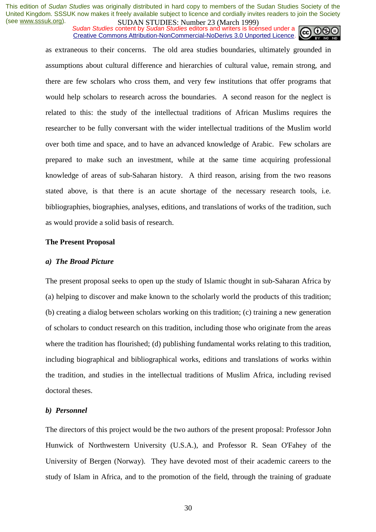*Sudan Studies* content by *Sudan Studies* editors and writers is licensed under a Creative Commons Attribution-NonCommercial-NoDerivs 3.0 Unported Licence.

as extraneous to their concerns. The old area studies boundaries, ultimately grounded in assumptions about cultural difference and hierarchies of cultural value, remain strong, and there are few scholars who cross them, and very few institutions that offer programs that would help scholars to research across the boundaries. A second reason for the neglect is related to this: the study of the intellectual traditions of African Muslims requires the researcher to be fully conversant with the wider intellectual traditions of the Muslim world over both time and space, and to have an advanced knowledge of Arabic. Few scholars are prepared to make such an investment, while at the same time acquiring professional knowledge of areas of sub-Saharan history. A third reason, arising from the two reasons stated above, is that there is an acute shortage of the necessary research tools, i.e. bibliographies, biographies, analyses, editions, and translations of works of the tradition, such as would provide a solid basis of research.

#### **The Present Proposal**

#### *a) The Broad Picture*

The present proposal seeks to open up the study of Islamic thought in sub-Saharan Africa by (a) helping to discover and make known to the scholarly world the products of this tradition; (b) creating a dialog between scholars working on this tradition; (c) training a new generation of scholars to conduct research on this tradition, including those who originate from the areas where the tradition has flourished; (d) publishing fundamental works relating to this tradition, including biographical and bibliographical works, editions and translations of works within the tradition, and studies in the intellectual traditions of Muslim Africa, including revised doctoral theses.

#### *b) Personnel*

The directors of this project would be the two authors of the present proposal: Professor John Hunwick of Northwestern University (U.S.A.), and Professor R. Sean O'Fahey of the University of Bergen (Norway). They have devoted most of their academic careers to the study of Islam in Africa, and to the promotion of the field, through the training of graduate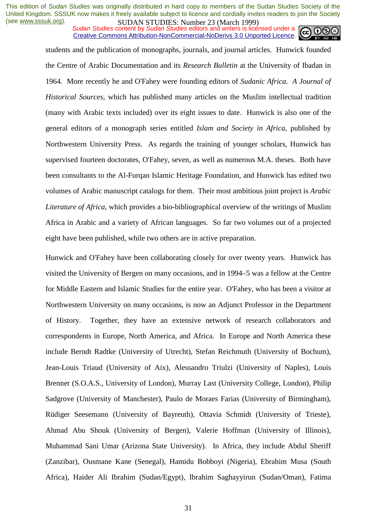*Sudan Studies* content by *Sudan Studies* editors and writers is licensed under a Creative Commons Attribution-NonCommercial-NoDerivs 3.0 Unported Licence.

students and the publication of monographs, journals, and journal articles. Hunwick founded the Centre of Arabic Documentation and its *Research Bulletin* at the University of Ibadan in 1964. More recently he and O'Fahey were founding editors of *Sudanic Africa. A Journal of Historical Sources*, which has published many articles on the Muslim intellectual tradition (many with Arabic texts included) over its eight issues to date. Hunwick is also one of the general editors of a monograph series entitled *Islam and Society in Africa*, published by Northwestern University Press. As regards the training of younger scholars, Hunwick has supervised fourteen doctorates, O'Fahey, seven, as well as numerous M.A. theses. Both have been consultants to the Al-Furqan Islamic Heritage Foundation, and Hunwick has edited two volumes of Arabic manuscript catalogs for them. Their most ambitious joint project is *Arabic Literature of Africa*, which provides a bio-bibliographical overview of the writings of Muslim Africa in Arabic and a variety of African languages. So far two volumes out of a projected eight have been published, while two others are in active preparation.

Hunwick and O'Fahey have been collaborating closely for over twenty years. Hunwick has visited the University of Bergen on many occasions, and in 1994–5 was a fellow at the Centre for Middle Eastern and Islamic Studies for the entire year. O'Fahey, who has been a visitor at Northwestern University on many occasions, is now an Adjunct Professor in the Department of History. Together, they have an extensive network of research collaborators and correspondents in Europe, North America, and Africa. In Europe and North America these include Berndt Radtke (University of Utrecht), Stefan Reichmuth (University of Bochum), Jean-Louis Triaud (University of Aix), Alessandro Triulzi (University of Naples), Louis Brenner (S.O.A.S., University of London), Murray Last (University College, London), Philip Sadgrove (University of Manchester), Paulo de Moraes Farias (University of Birmingham), Rüdiger Seesemann (University of Bayreuth), Ottavia Schmidt (University of Trieste), Ahmad Abu Shouk (University of Bergen), Valerie Hoffman (University of Illinois), Muhammad Sani Umar (Arizona State University). In Africa, they include Abdul Sheriff (Zanzibar), Ousmane Kane (Senegal), Hamidu Bobboyi (Nigeria), Ebrahim Musa (South Africa), Haider Ali Ibrahim (Sudan/Egypt), Ibrahim Saghayyirun (Sudan/Oman), Fatima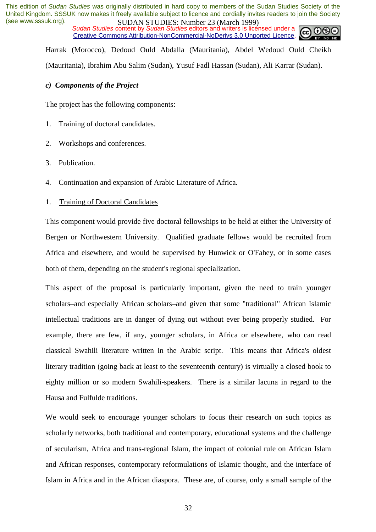*Sudan Studies* content by *Sudan Studies* editors and writers is licensed under a Creative Commons Attribution-NonCommercial-NoDerivs 3.0 Unported Licence.



Harrak (Morocco), Dedoud Ould Abdalla (Mauritania), Abdel Wedoud Ould Cheikh (Mauritania), Ibrahim Abu Salim (Sudan), Yusuf Fadl Hassan (Sudan), Ali Karrar (Sudan).

#### *c) Components of the Project*

The project has the following components:

- 1. Training of doctoral candidates.
- 2. Workshops and conferences.
- 3. Publication.
- 4. Continuation and expansion of Arabic Literature of Africa.
- 1. Training of Doctoral Candidates

This component would provide five doctoral fellowships to be held at either the University of Bergen or Northwestern University. Qualified graduate fellows would be recruited from Africa and elsewhere, and would be supervised by Hunwick or O'Fahey, or in some cases both of them, depending on the student's regional specialization.

This aspect of the proposal is particularly important, given the need to train younger scholars–and especially African scholars–and given that some "traditional" African Islamic intellectual traditions are in danger of dying out without ever being properly studied. For example, there are few, if any, younger scholars, in Africa or elsewhere, who can read classical Swahili literature written in the Arabic script. This means that Africa's oldest literary tradition (going back at least to the seventeenth century) is virtually a closed book to eighty million or so modern Swahili-speakers. There is a similar lacuna in regard to the Hausa and Fulfulde traditions.

We would seek to encourage younger scholars to focus their research on such topics as scholarly networks, both traditional and contemporary, educational systems and the challenge of secularism, Africa and trans-regional Islam, the impact of colonial rule on African Islam and African responses, contemporary reformulations of Islamic thought, and the interface of Islam in Africa and in the African diaspora. These are, of course, only a small sample of the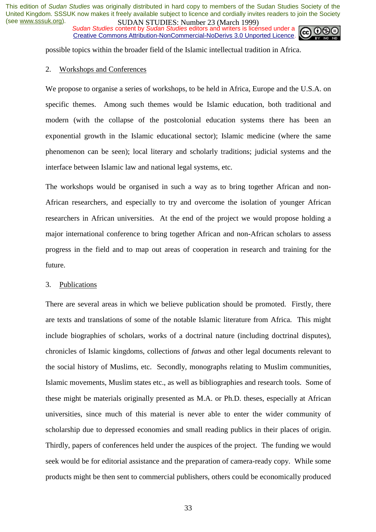*Sudan Studies* content by *Sudan Studies* editors and writers is licensed under a Creative Commons Attribution-NonCommercial-NoDerivs 3.0 Unported Licence.



possible topics within the broader field of the Islamic intellectual tradition in Africa.

#### 2. Workshops and Conferences

We propose to organise a series of workshops, to be held in Africa, Europe and the U.S.A. on specific themes. Among such themes would be Islamic education, both traditional and modern (with the collapse of the postcolonial education systems there has been an exponential growth in the Islamic educational sector); Islamic medicine (where the same phenomenon can be seen); local literary and scholarly traditions; judicial systems and the interface between Islamic law and national legal systems, etc.

The workshops would be organised in such a way as to bring together African and non-African researchers, and especially to try and overcome the isolation of younger African researchers in African universities. At the end of the project we would propose holding a major international conference to bring together African and non-African scholars to assess progress in the field and to map out areas of cooperation in research and training for the future.

#### 3. Publications

There are several areas in which we believe publication should be promoted. Firstly, there are texts and translations of some of the notable Islamic literature from Africa. This might include biographies of scholars, works of a doctrinal nature (including doctrinal disputes), chronicles of Islamic kingdoms, collections of *fatwas* and other legal documents relevant to the social history of Muslims, etc. Secondly, monographs relating to Muslim communities, Islamic movements, Muslim states etc., as well as bibliographies and research tools. Some of these might be materials originally presented as M.A. or Ph.D. theses, especially at African universities, since much of this material is never able to enter the wider community of scholarship due to depressed economies and small reading publics in their places of origin. Thirdly, papers of conferences held under the auspices of the project. The funding we would seek would be for editorial assistance and the preparation of camera-ready copy. While some products might be then sent to commercial publishers, others could be economically produced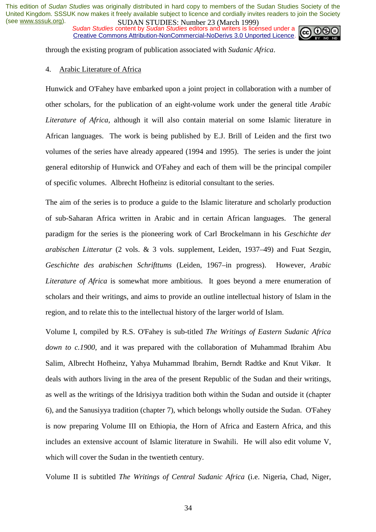**SUDAN STUDIES.** Number 25 (March 1777)<br>Sudan Studies content by Sudan Studies editors and writers is licensed under a Creative Commons Attribution-NonCommercial-NoDerivs 3.0 Unported Licence.



through the existing program of publication associated with *Sudanic Africa*.

#### 4. Arabic Literature of Africa

Hunwick and O'Fahey have embarked upon a joint project in collaboration with a number of other scholars, for the publication of an eight-volume work under the general title *Arabic Literature of Africa*, although it will also contain material on some Islamic literature in African languages. The work is being published by E.J. Brill of Leiden and the first two volumes of the series have already appeared (1994 and 1995). The series is under the joint general editorship of Hunwick and O'Fahey and each of them will be the principal compiler of specific volumes. Albrecht Hofheinz is editorial consultant to the series.

The aim of the series is to produce a guide to the Islamic literature and scholarly production of sub-Saharan Africa written in Arabic and in certain African languages. The general paradigm for the series is the pioneering work of Carl Brockelmann in his *Geschichte der arabischen Litteratur* (2 vols. & 3 vols. supplement, Leiden, 1937–49) and Fuat Sezgin, *Geschichte des arabischen Schrifttums* (Leiden, 1967–in progress). However, *Arabic Literature of Africa* is somewhat more ambitious. It goes beyond a mere enumeration of scholars and their writings, and aims to provide an outline intellectual history of Islam in the region, and to relate this to the intellectual history of the larger world of Islam.

Volume I, compiled by R.S. O'Fahey is sub-titled *The Writings of Eastern Sudanic Africa down to c.1900*, and it was prepared with the collaboration of Muhammad Ibrahim Abu Salim, Albrecht Hofheinz, Yahya Muhammad Ibrahim, Berndt Radtke and Knut Vikør. It deals with authors living in the area of the present Republic of the Sudan and their writings, as well as the writings of the Idrisiyya tradition both within the Sudan and outside it (chapter 6), and the Sanusiyya tradition (chapter 7), which belongs wholly outside the Sudan. O'Fahey is now preparing Volume III on Ethiopia, the Horn of Africa and Eastern Africa, and this includes an extensive account of Islamic literature in Swahili. He will also edit volume V, which will cover the Sudan in the twentieth century.

Volume II is subtitled *The Writings of Central Sudanic Africa* (i.e. Nigeria, Chad, Niger,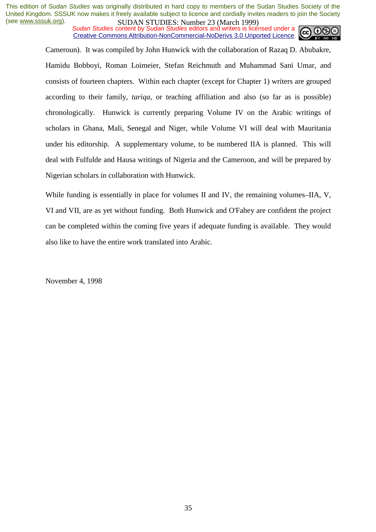*Sudan Studies* content by *Sudan Studies* editors and writers is licensed under a Creative Commons Attribution-NonCommercial-NoDerivs 3.0 Unported Licence.



Cameroun). It was compiled by John Hunwick with the collaboration of Razaq D. Abubakre, Hamidu Bobboyi, Roman Loimeier, Stefan Reichmuth and Muhammad Sani Umar, and consists of fourteen chapters. Within each chapter (except for Chapter 1) writers are grouped according to their family, *tariqa*, or teaching affiliation and also (so far as is possible) chronologically. Hunwick is currently preparing Volume IV on the Arabic writings of scholars in Ghana, Mali, Senegal and Niger, while Volume VI will deal with Mauritania under his editorship. A supplementary volume, to be numbered IIA is planned. This will deal with Fulfulde and Hausa writings of Nigeria and the Cameroon, and will be prepared by Nigerian scholars in collaboration with Hunwick.

While funding is essentially in place for volumes II and IV, the remaining volumes–IIA, V, VI and VII, are as yet without funding. Both Hunwick and O'Fahey are confident the project can be completed within the coming five years if adequate funding is available. They would also like to have the entire work translated into Arabic.

November 4, 1998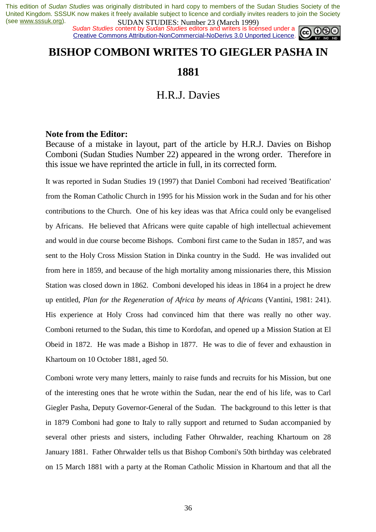**SUDAN STUDIES**: Number 25 (March 1777)<br>Sudan Studies content by Sudan Studies editors and writers is licensed under a Creative Commons Attribution-NonCommercial-NoDerivs 3.0 Unported Licence.

### **BISHOP COMBONI WRITES TO GIEGLER PASHA IN**

**1881** 

### H.R.J. Davies

#### **Note from the Editor:**

Because of a mistake in layout, part of the article by H.R.J. Davies on Bishop Comboni (Sudan Studies Number 22) appeared in the wrong order. Therefore in this issue we have reprinted the article in full, in its corrected form.

It was reported in Sudan Studies 19 (1997) that Daniel Comboni had received 'Beatification' from the Roman Catholic Church in 1995 for his Mission work in the Sudan and for his other contributions to the Church. One of his key ideas was that Africa could only be evangelised by Africans. He believed that Africans were quite capable of high intellectual achievement and would in due course become Bishops. Comboni first came to the Sudan in 1857, and was sent to the Holy Cross Mission Station in Dinka country in the Sudd. He was invalided out from here in 1859, and because of the high mortality among missionaries there, this Mission Station was closed down in 1862. Comboni developed his ideas in 1864 in a project he drew up entitled, *Plan for the Regeneration of Africa by means of Africans* (Vantini, 1981: 241). His experience at Holy Cross had convinced him that there was really no other way. Comboni returned to the Sudan, this time to Kordofan, and opened up a Mission Station at El Obeid in 1872. He was made a Bishop in 1877. He was to die of fever and exhaustion in Khartoum on 10 October 1881, aged 50.

Comboni wrote very many letters, mainly to raise funds and recruits for his Mission, but one of the interesting ones that he wrote within the Sudan, near the end of his life, was to Carl Giegler Pasha, Deputy Governor-General of the Sudan. The background to this letter is that in 1879 Comboni had gone to Italy to rally support and returned to Sudan accompanied by several other priests and sisters, including Father Ohrwalder, reaching Khartoum on 28 January 1881. Father Ohrwalder tells us that Bishop Comboni's 50th birthday was celebrated on 15 March 1881 with a party at the Roman Catholic Mission in Khartoum and that all the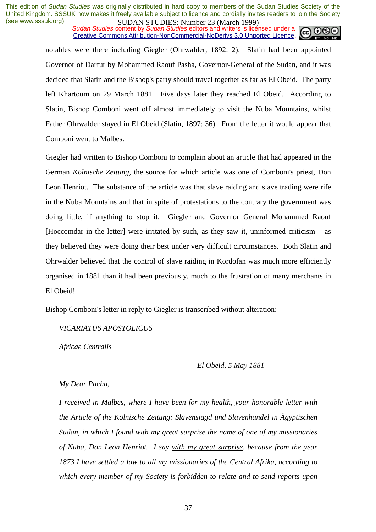*Sudan Studies* content by *Sudan Studies* editors and writers is licensed under a Creative Commons Attribution-NonCommercial-NoDerivs 3.0 Unported Licence.



notables were there including Giegler (Ohrwalder, 1892: 2). Slatin had been appointed Governor of Darfur by Mohammed Raouf Pasha, Governor-General of the Sudan, and it was decided that Slatin and the Bishop's party should travel together as far as El Obeid. The party left Khartoum on 29 March 1881. Five days later they reached El Obeid. According to Slatin, Bishop Comboni went off almost immediately to visit the Nuba Mountains, whilst Father Ohrwalder stayed in El Obeid (Slatin, 1897: 36). From the letter it would appear that Comboni went to Malbes.

Giegler had written to Bishop Comboni to complain about an article that had appeared in the German *Kölnische Zeitung*, the source for which article was one of Comboni's priest, Don Leon Henriot. The substance of the article was that slave raiding and slave trading were rife in the Nuba Mountains and that in spite of protestations to the contrary the government was doing little, if anything to stop it. Giegler and Governor General Mohammed Raouf [Hoccomdar in the letter] were irritated by such, as they saw it, uninformed criticism  $-$  as they believed they were doing their best under very difficult circumstances. Both Slatin and Ohrwalder believed that the control of slave raiding in Kordofan was much more efficiently organised in 1881 than it had been previously, much to the frustration of many merchants in El Obeid!

Bishop Comboni's letter in reply to Giegler is transcribed without alteration:

#### *VICARIATUS APOSTOLICUS*

*Africae Centralis* 

#### *El Obeid, 5 May 1881*

#### *My Dear Pacha,*

*I received in Malbes, where I have been for my health, your honorable letter with the Article of the Kölnische Zeitung: Slavensjagd und Slavenhandel in Ägyptischen Sudan, in which I found with my great surprise the name of one of my missionaries of Nuba, Don Leon Henriot. I say with my great surprise, because from the year 1873 I have settled a law to all my missionaries of the Central Afrika, according to which every member of my Society is forbidden to relate and to send reports upon*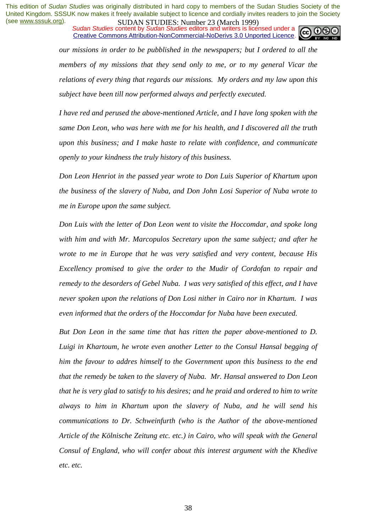*Sudan Studies* content by *Sudan Studies* editors and writers is licensed under a Creative Commons Attribution-NonCommercial-NoDerivs 3.0 Unported Licence.



*our missions in order to be pubblished in the newspapers; but I ordered to all the members of my missions that they send only to me, or to my general Vicar the relations of every thing that regards our missions. My orders and my law upon this subject have been till now performed always and perfectly executed.* 

*I have red and perused the above-mentioned Article, and I have long spoken with the same Don Leon, who was here with me for his health, and I discovered all the truth upon this business; and I make haste to relate with confidence, and communicate openly to your kindness the truly history of this business.* 

*Don Leon Henriot in the passed year wrote to Don Luis Superior of Khartum upon the business of the slavery of Nuba, and Don John Losi Superior of Nuba wrote to me in Europe upon the same subject.* 

*Don Luis with the letter of Don Leon went to visite the Hoccomdar, and spoke long with him and with Mr. Marcopulos Secretary upon the same subject; and after he wrote to me in Europe that he was very satisfied and very content, because His Excellency promised to give the order to the Mudir of Cordofan to repair and remedy to the desorders of Gebel Nuba. I was very satisfied of this effect, and I have never spoken upon the relations of Don Losi nither in Cairo nor in Khartum. I was even informed that the orders of the Hoccomdar for Nuba have been executed.* 

*But Don Leon in the same time that has ritten the paper above-mentioned to D. Luigi in Khartoum, he wrote even another Letter to the Consul Hansal begging of him the favour to addres himself to the Government upon this business to the end that the remedy be taken to the slavery of Nuba. Mr. Hansal answered to Don Leon that he is very glad to satisfy to his desires; and he praid and ordered to him to write always to him in Khartum upon the slavery of Nuba, and he will send his communications to Dr. Schweinfurth (who is the Author of the above-mentioned Article of the Kölnische Zeitung etc. etc.) in Cairo, who will speak with the General Consul of England, who will confer about this interest argument with the Khedive etc. etc.*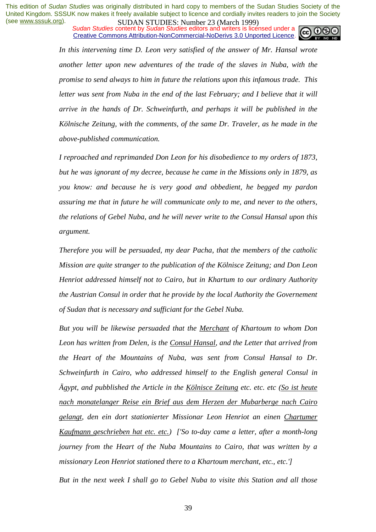*Sudan Studies* content by *Sudan Studies* editors and writers is licensed under a Creative Commons Attribution-NonCommercial-NoDerivs 3.0 Unported Licence.



In this intervening time D. Leon very satisfied of the answer of Mr. Hansal wrote *another letter upon new adventures of the trade of the slaves in Nuba, with the promise to send always to him in future the relations upon this infamous trade. This letter was sent from Nuba in the end of the last February; and I believe that it will arrive in the hands of Dr. Schweinfurth, and perhaps it will be published in the Kölnische Zeitung, with the comments, of the same Dr. Traveler, as he made in the above-published communication.* 

*I reproached and reprimanded Don Leon for his disobedience to my orders of 1873, but he was ignorant of my decree, because he came in the Missions only in 1879, as you know: and because he is very good and obbedient, he begged my pardon assuring me that in future he will communicate only to me, and never to the others, the relations of Gebel Nuba, and he will never write to the Consul Hansal upon this argument.* 

*Therefore you will be persuaded, my dear Pacha, that the members of the catholic Mission are quite stranger to the publication of the Kölnisce Zeitung; and Don Leon Henriot addressed himself not to Cairo, but in Khartum to our ordinary Authority the Austrian Consul in order that he provide by the local Authority the Governement of Sudan that is necessary and sufficiant for the Gebel Nuba.* 

*But you will be likewise persuaded that the Merchant of Khartoum to whom Don Leon has written from Delen, is the Consul Hansal, and the Letter that arrived from the Heart of the Mountains of Nuba, was sent from Consul Hansal to Dr. Schweinfurth in Cairo, who addressed himself to the English general Consul in Ägypt, and pubblished the Article in the Kölnisce Zeitung etc. etc. etc (So ist heute nach monatelanger Reise ein Brief aus dem Herzen der Mubarberge nach Cairo gelangt, den ein dort stationierter Missionar Leon Henriot an einen Chartumer Kaufmann geschrieben hat etc. etc.) ['So to-day came a letter, after a month-long journey from the Heart of the Nuba Mountains to Cairo, that was written by a missionary Leon Henriot stationed there to a Khartoum merchant, etc., etc.']* 

*But in the next week I shall go to Gebel Nuba to visite this Station and all those*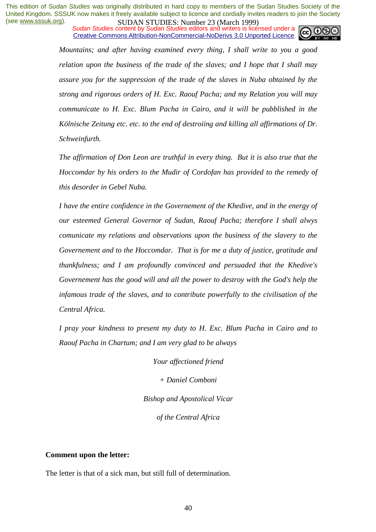*Sudan Studies* content by *Sudan Studies* editors and writers is licensed under a Creative Commons Attribution-NonCommercial-NoDerivs 3.0 Unported Licence.



*Mountains; and after having examined every thing, I shall write to you a good relation upon the business of the trade of the slaves; and I hope that I shall may assure you for the suppression of the trade of the slaves in Nuba obtained by the strong and rigorous orders of H. Exc. Raouf Pacha; and my Relation you will may communicate to H. Exc. Blum Pacha in Cairo, and it will be pubblished in the Kölnische Zeitung etc. etc. to the end of destroiing and killing all affirmations of Dr. Schweinfurth.* 

*The affirmation of Don Leon are truthful in every thing. But it is also true that the Hoccomdar by his orders to the Mudir of Cordofan has provided to the remedy of this desorder in Gebel Nuba.* 

*I have the entire confidence in the Governement of the Khedive, and in the energy of our esteemed General Governor of Sudan, Raouf Pacha; therefore I shall alwys comunicate my relations and observations upon the business of the slavery to the Governement and to the Hoccomdar. That is for me a duty of justice, gratitude and thankfulness; and I am profoundly convinced and persuaded that the Khedive's Governement has the good will and all the power to destroy with the God's help the infamous trade of the slaves, and to contribute powerfully to the civilisation of the Central Africa.* 

*I pray your kindness to present my duty to H. Exc. Blum Pacha in Cairo and to Raouf Pacha in Chartum; and I am very glad to be always* 

> *Your affectioned friend + Daniel Comboni Bishop and Apostolical Vicar of the Central Africa*

#### **Comment upon the letter:**

The letter is that of a sick man, but still full of determination.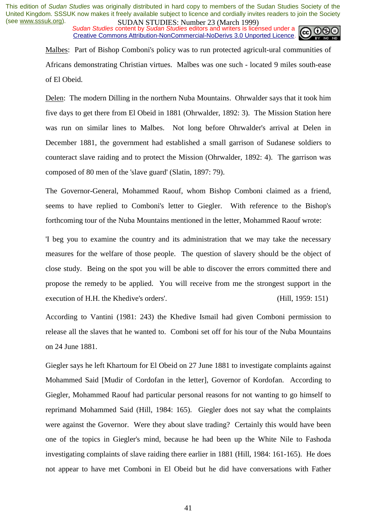**SUDAN STUDIES. NUTTER 20 (WALK 1999)**<br>Sudan Studies content by Sudan Studies editors and writers is licensed under a Creative Commons Attribution-NonCommercial-NoDerivs 3.0 Unported Licence.



Malbes: Part of Bishop Comboni's policy was to run protected agricult-ural communities of Africans demonstrating Christian virtues. Malbes was one such - located 9 miles south-ease of El Obeid.

Delen: The modern Dilling in the northern Nuba Mountains. Ohrwalder says that it took him five days to get there from El Obeid in 1881 (Ohrwalder, 1892: 3). The Mission Station here was run on similar lines to Malbes. Not long before Ohrwalder's arrival at Delen in December 1881, the government had established a small garrison of Sudanese soldiers to counteract slave raiding and to protect the Mission (Ohrwalder, 1892: 4). The garrison was composed of 80 men of the 'slave guard' (Slatin, 1897: 79).

The Governor-General, Mohammed Raouf, whom Bishop Comboni claimed as a friend, seems to have replied to Comboni's letter to Giegler. With reference to the Bishop's forthcoming tour of the Nuba Mountains mentioned in the letter, Mohammed Raouf wrote:

'I beg you to examine the country and its administration that we may take the necessary measures for the welfare of those people. The question of slavery should be the object of close study. Being on the spot you will be able to discover the errors committed there and propose the remedy to be applied. You will receive from me the strongest support in the execution of H.H. the Khedive's orders'. (Hill, 1959: 151)

According to Vantini (1981: 243) the Khedive Ismail had given Comboni permission to release all the slaves that he wanted to. Comboni set off for his tour of the Nuba Mountains on 24 June 1881.

Giegler says he left Khartoum for El Obeid on 27 June 1881 to investigate complaints against Mohammed Said [Mudir of Cordofan in the letter], Governor of Kordofan. According to Giegler, Mohammed Raouf had particular personal reasons for not wanting to go himself to reprimand Mohammed Said (Hill, 1984: 165). Giegler does not say what the complaints were against the Governor. Were they about slave trading? Certainly this would have been one of the topics in Giegler's mind, because he had been up the White Nile to Fashoda investigating complaints of slave raiding there earlier in 1881 (Hill, 1984: 161-165). He does not appear to have met Comboni in El Obeid but he did have conversations with Father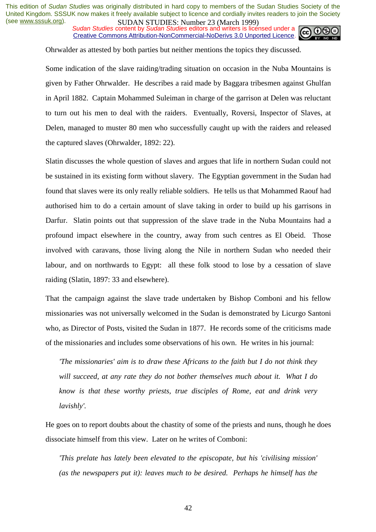*Sudan Studies* content by *Sudan Studies* editors and writers is licensed under a Creative Commons Attribution-NonCommercial-NoDerivs 3.0 Unported Licence.



Ohrwalder as attested by both parties but neither mentions the topics they discussed.

Some indication of the slave raiding/trading situation on occasion in the Nuba Mountains is given by Father Ohrwalder. He describes a raid made by Baggara tribesmen against Ghulfan in April 1882. Captain Mohammed Suleiman in charge of the garrison at Delen was reluctant to turn out his men to deal with the raiders. Eventually, Roversi, Inspector of Slaves, at Delen, managed to muster 80 men who successfully caught up with the raiders and released the captured slaves (Ohrwalder, 1892: 22).

Slatin discusses the whole question of slaves and argues that life in northern Sudan could not be sustained in its existing form without slavery. The Egyptian government in the Sudan had found that slaves were its only really reliable soldiers. He tells us that Mohammed Raouf had authorised him to do a certain amount of slave taking in order to build up his garrisons in Darfur. Slatin points out that suppression of the slave trade in the Nuba Mountains had a profound impact elsewhere in the country, away from such centres as El Obeid. Those involved with caravans, those living along the Nile in northern Sudan who needed their labour, and on northwards to Egypt: all these folk stood to lose by a cessation of slave raiding (Slatin, 1897: 33 and elsewhere).

That the campaign against the slave trade undertaken by Bishop Comboni and his fellow missionaries was not universally welcomed in the Sudan is demonstrated by Licurgo Santoni who, as Director of Posts, visited the Sudan in 1877. He records some of the criticisms made of the missionaries and includes some observations of his own. He writes in his journal:

*'The missionaries' aim is to draw these Africans to the faith but I do not think they will succeed, at any rate they do not bother themselves much about it. What I do know is that these worthy priests, true disciples of Rome, eat and drink very lavishly'.* 

He goes on to report doubts about the chastity of some of the priests and nuns, though he does dissociate himself from this view. Later on he writes of Comboni:

*'This prelate has lately been elevated to the episcopate, but his 'civilising mission' (as the newspapers put it): leaves much to be desired. Perhaps he himself has the*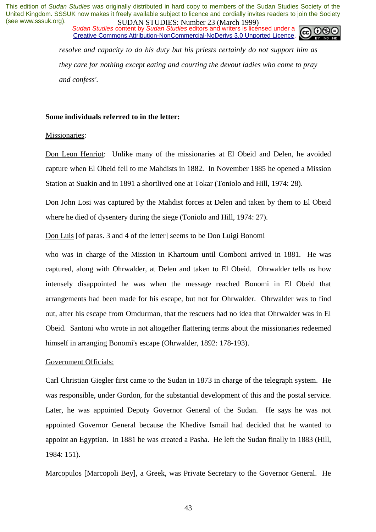*Sudan Studies* content by *Sudan Studies* editors and writers is licensed under a Creative Commons Attribution-NonCommercial-NoDerivs 3.0 Unported Licence.



*resolve and capacity to do his duty but his priests certainly do not support him as they care for nothing except eating and courting the devout ladies who come to pray and confess'.* 

#### **Some individuals referred to in the letter:**

#### Missionaries:

Don Leon Henriot: Unlike many of the missionaries at El Obeid and Delen, he avoided capture when El Obeid fell to me Mahdists in 1882. In November 1885 he opened a Mission Station at Suakin and in 1891 a shortlived one at Tokar (Toniolo and Hill, 1974: 28).

Don John Losi was captured by the Mahdist forces at Delen and taken by them to El Obeid where he died of dysentery during the siege (Toniolo and Hill, 1974: 27).

Don Luis [of paras. 3 and 4 of the letter] seems to be Don Luigi Bonomi

who was in charge of the Mission in Khartoum until Comboni arrived in 1881. He was captured, along with Ohrwalder, at Delen and taken to El Obeid. Ohrwalder tells us how intensely disappointed he was when the message reached Bonomi in El Obeid that arrangements had been made for his escape, but not for Ohrwalder. Ohrwalder was to find out, after his escape from Omdurman, that the rescuers had no idea that Ohrwalder was in El Obeid. Santoni who wrote in not altogether flattering terms about the missionaries redeemed himself in arranging Bonomi's escape (Ohrwalder, 1892: 178-193).

#### Government Officials:

Carl Christian Giegler first came to the Sudan in 1873 in charge of the telegraph system. He was responsible, under Gordon, for the substantial development of this and the postal service. Later, he was appointed Deputy Governor General of the Sudan. He says he was not appointed Governor General because the Khedive Ismail had decided that he wanted to appoint an Egyptian. In 1881 he was created a Pasha. He left the Sudan finally in 1883 (Hill, 1984: 151).

Marcopulos [Marcopoli Bey], a Greek, was Private Secretary to the Governor General. He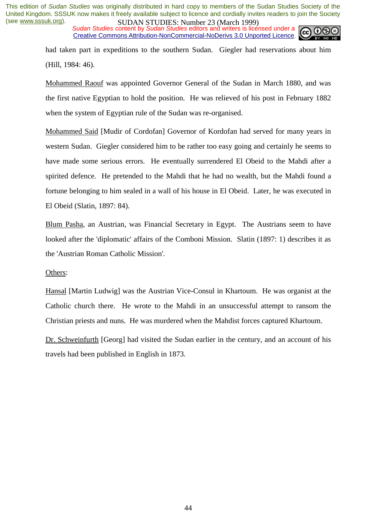*Sudan Studies* content by *Sudan Studies* editors and writers is licensed under a Creative Commons Attribution-NonCommercial-NoDerivs 3.0 Unported Licence.



had taken part in expeditions to the southern Sudan. Giegler had reservations about him (Hill, 1984: 46).

Mohammed Raouf was appointed Governor General of the Sudan in March 1880, and was the first native Egyptian to hold the position. He was relieved of his post in February 1882 when the system of Egyptian rule of the Sudan was re-organised.

Mohammed Said [Mudir of Cordofan] Governor of Kordofan had served for many years in western Sudan. Giegler considered him to be rather too easy going and certainly he seems to have made some serious errors. He eventually surrendered El Obeid to the Mahdi after a spirited defence. He pretended to the Mahdi that he had no wealth, but the Mahdi found a fortune belonging to him sealed in a wall of his house in El Obeid. Later, he was executed in El Obeid (Slatin, 1897: 84).

Blum Pasha, an Austrian, was Financial Secretary in Egypt. The Austrians seem to have looked after the 'diplomatic' affairs of the Comboni Mission. Slatin (1897: 1) describes it as the 'Austrian Roman Catholic Mission'.

#### Others:

Hansal [Martin Ludwig] was the Austrian Vice-Consul in Khartoum. He was organist at the Catholic church there. He wrote to the Mahdi in an unsuccessful attempt to ransom the Christian priests and nuns. He was murdered when the Mahdist forces captured Khartoum.

Dr. Schweinfurth [Georg] had visited the Sudan earlier in the century, and an account of his travels had been published in English in 1873.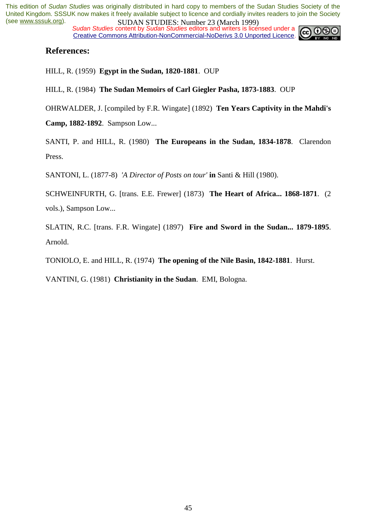**SUDAN STUDIES.** Number 25 (March 1777)<br>Sudan Studies content by Sudan Studies editors and writers is licensed under a Creative Commons Attribution-NonCommercial-NoDerivs 3.0 Unported Licence.



#### **References:**

HILL, R. (1959) **Egypt in the Sudan, 1820-1881**. OUP

HILL, R. (1984) **The Sudan Memoirs of Carl Giegler Pasha, 1873-1883**. OUP

OHRWALDER, J. [compiled by F.R. Wingate] (1892) **Ten Years Captivity in the Mahdi's** 

**Camp, 1882-1892**. Sampson Low...

SANTI, P. and HILL, R. (1980) **The Europeans in the Sudan, 1834-1878**. Clarendon Press.

SANTONI, L. (1877-8) *'A Director of Posts on tour'* **in** Santi & Hill (1980).

SCHWEINFURTH, G. [trans. E.E. Frewer] (1873) **The Heart of Africa... 1868-1871**. (2 vols.), Sampson Low...

SLATIN, R.C. [trans. F.R. Wingate] (1897) **Fire and Sword in the Sudan... 1879-1895**. Arnold.

TONIOLO, E. and HILL, R. (1974) **The opening of the Nile Basin, 1842-1881**. Hurst.

VANTINI, G. (1981) **Christianity in the Sudan**. EMI, Bologna.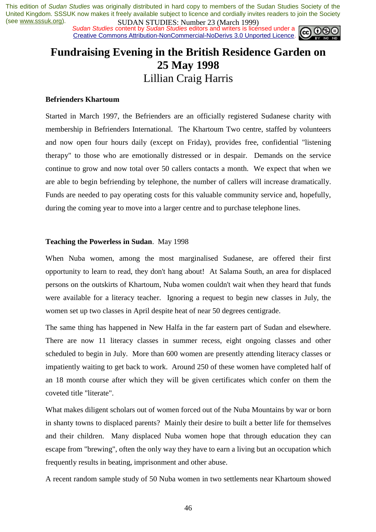**SUDAN STUDIES.** Number 25 (March 1777)<br>Sudan Studies content by Sudan Studies editors and writers is licensed under a **co. 00** Creative Commons Attribution-NonCommercial-NoDerivs 3.0 Unported Licence.



### **Fundraising Evening in the British Residence Garden on 25 May 1998**  Lillian Craig Harris

#### **Befrienders Khartoum**

Started in March 1997, the Befrienders are an officially registered Sudanese charity with membership in Befrienders International. The Khartoum Two centre, staffed by volunteers and now open four hours daily (except on Friday), provides free, confidential "listening therapy" to those who are emotionally distressed or in despair. Demands on the service continue to grow and now total over 50 callers contacts a month. We expect that when we are able to begin befriending by telephone, the number of callers will increase dramatically. Funds are needed to pay operating costs for this valuable community service and, hopefully, during the coming year to move into a larger centre and to purchase telephone lines.

#### **Teaching the Powerless in Sudan**. May 1998

When Nuba women, among the most marginalised Sudanese, are offered their first opportunity to learn to read, they don't hang about! At Salama South, an area for displaced persons on the outskirts of Khartoum, Nuba women couldn't wait when they heard that funds were available for a literacy teacher. Ignoring a request to begin new classes in July, the women set up two classes in April despite heat of near 50 degrees centigrade.

The same thing has happened in New Halfa in the far eastern part of Sudan and elsewhere. There are now 11 literacy classes in summer recess, eight ongoing classes and other scheduled to begin in July. More than 600 women are presently attending literacy classes or impatiently waiting to get back to work. Around 250 of these women have completed half of an 18 month course after which they will be given certificates which confer on them the coveted title "literate".

What makes diligent scholars out of women forced out of the Nuba Mountains by war or born in shanty towns to displaced parents? Mainly their desire to built a better life for themselves and their children. Many displaced Nuba women hope that through education they can escape from "brewing", often the only way they have to earn a living but an occupation which frequently results in beating, imprisonment and other abuse.

A recent random sample study of 50 Nuba women in two settlements near Khartoum showed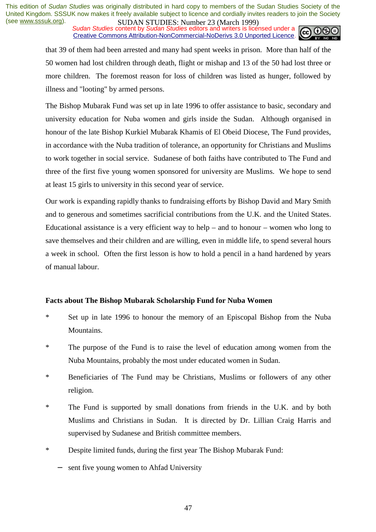**SUDAN STUDIES. NUTTER 20 (WALK 1999)**<br>Sudan Studies content by Sudan Studies editors and writers is licensed under a Creative Commons Attribution-NonCommercial-NoDerivs 3.0 Unported Licence.



that 39 of them had been arrested and many had spent weeks in prison. More than half of the 50 women had lost children through death, flight or mishap and 13 of the 50 had lost three or more children. The foremost reason for loss of children was listed as hunger, followed by illness and "looting" by armed persons.

The Bishop Mubarak Fund was set up in late 1996 to offer assistance to basic, secondary and university education for Nuba women and girls inside the Sudan. Although organised in honour of the late Bishop Kurkiel Mubarak Khamis of El Obeid Diocese, The Fund provides, in accordance with the Nuba tradition of tolerance, an opportunity for Christians and Muslims to work together in social service. Sudanese of both faiths have contributed to The Fund and three of the first five young women sponsored for university are Muslims. We hope to send at least 15 girls to university in this second year of service.

Our work is expanding rapidly thanks to fundraising efforts by Bishop David and Mary Smith and to generous and sometimes sacrificial contributions from the U.K. and the United States. Educational assistance is a very efficient way to help – and to honour – women who long to save themselves and their children and are willing, even in middle life, to spend several hours a week in school. Often the first lesson is how to hold a pencil in a hand hardened by years of manual labour.

#### **Facts about The Bishop Mubarak Scholarship Fund for Nuba Women**

- \* Set up in late 1996 to honour the memory of an Episcopal Bishop from the Nuba Mountains.
- \* The purpose of the Fund is to raise the level of education among women from the Nuba Mountains, probably the most under educated women in Sudan.
- \* Beneficiaries of The Fund may be Christians, Muslims or followers of any other religion.
- \* The Fund is supported by small donations from friends in the U.K. and by both Muslims and Christians in Sudan. It is directed by Dr. Lillian Craig Harris and supervised by Sudanese and British committee members.
- \* Despite limited funds, during the first year The Bishop Mubarak Fund:
	- sent five young women to Ahfad University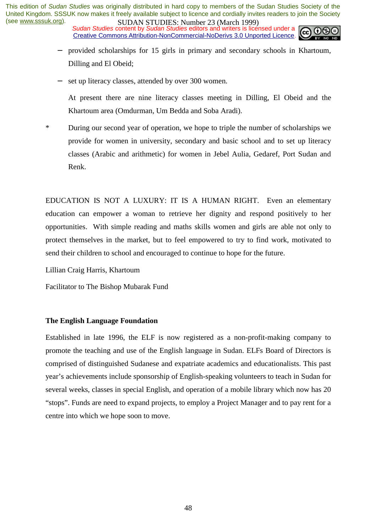**SUDAN STUDIES.** Number 25 (March 1777)<br>Sudan Studies content by Sudan Studies editors and writers is licensed under a Creative Commons Attribution-NonCommercial-NoDerivs 3.0 Unported Licence.



- provided scholarships for 15 girls in primary and secondary schools in Khartoum, Dilling and El Obeid;
- set up literacy classes, attended by over 300 women.

At present there are nine literacy classes meeting in Dilling, El Obeid and the Khartoum area (Omdurman, Um Bedda and Soba Aradi).

\* During our second year of operation, we hope to triple the number of scholarships we provide for women in university, secondary and basic school and to set up literacy classes (Arabic and arithmetic) for women in Jebel Aulia, Gedaref, Port Sudan and Renk.

EDUCATION IS NOT A LUXURY: IT IS A HUMAN RIGHT. Even an elementary education can empower a woman to retrieve her dignity and respond positively to her opportunities. With simple reading and maths skills women and girls are able not only to protect themselves in the market, but to feel empowered to try to find work, motivated to send their children to school and encouraged to continue to hope for the future.

Lillian Craig Harris, Khartoum

Facilitator to The Bishop Mubarak Fund

#### **The English Language Foundation**

Established in late 1996, the ELF is now registered as a non-profit-making company to promote the teaching and use of the English language in Sudan. ELFs Board of Directors is comprised of distinguished Sudanese and expatriate academics and educationalists. This past year's achievements include sponsorship of English-speaking volunteers to teach in Sudan for several weeks, classes in special English, and operation of a mobile library which now has 20 "stops". Funds are need to expand projects, to employ a Project Manager and to pay rent for a centre into which we hope soon to move.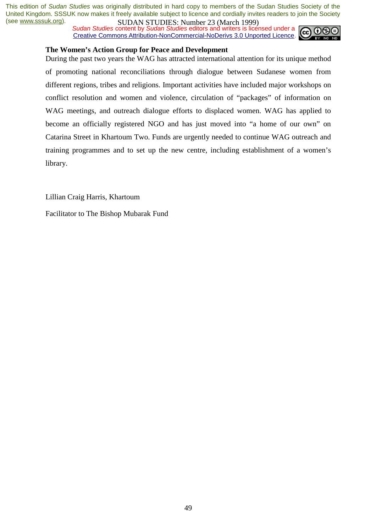**SUDAN STUDIES:** NUTTURE 25 (WELD 1777)<br>Sudan Studies content by Sudan Studies editors and writers is licensed under a Creative Commons Attribution-NonCommercial-NoDerivs 3.0 Unported Licence.



#### **The Women's Action Group for Peace and Development**

During the past two years the WAG has attracted international attention for its unique method of promoting national reconciliations through dialogue between Sudanese women from different regions, tribes and religions. Important activities have included major workshops on conflict resolution and women and violence, circulation of "packages" of information on WAG meetings, and outreach dialogue efforts to displaced women. WAG has applied to become an officially registered NGO and has just moved into "a home of our own" on Catarina Street in Khartoum Two. Funds are urgently needed to continue WAG outreach and training programmes and to set up the new centre, including establishment of a women's library.

Lillian Craig Harris, Khartoum

Facilitator to The Bishop Mubarak Fund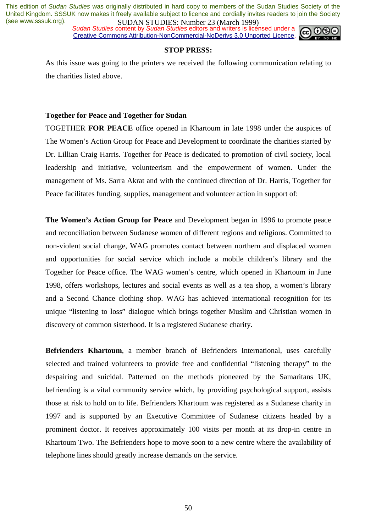**SUDAN STUDES:** Number 25 (Water 1777)<br>Sudan Studies content by Sudan Studies editors and writers is licensed under a Creative Commons Attribution-NonCommercial-NoDerivs 3.0 Unported Licence.



#### **STOP PRESS:**

As this issue was going to the printers we received the following communication relating to the charities listed above.

#### **Together for Peace and Together for Sudan**

TOGETHER **FOR PEACE** office opened in Khartoum in late 1998 under the auspices of The Women's Action Group for Peace and Development to coordinate the charities started by Dr. Lillian Craig Harris. Together for Peace is dedicated to promotion of civil society, local leadership and initiative, volunteerism and the empowerment of women. Under the management of Ms. Sarra Akrat and with the continued direction of Dr. Harris, Together for Peace facilitates funding, supplies, management and volunteer action in support of:

**The Women's Action Group for Peace** and Development began in 1996 to promote peace and reconciliation between Sudanese women of different regions and religions. Committed to non-violent social change, WAG promotes contact between northern and displaced women and opportunities for social service which include a mobile children's library and the Together for Peace office. The WAG women's centre, which opened in Khartoum in June 1998, offers workshops, lectures and social events as well as a tea shop, a women's library and a Second Chance clothing shop. WAG has achieved international recognition for its unique "listening to loss" dialogue which brings together Muslim and Christian women in discovery of common sisterhood. It is a registered Sudanese charity.

**Befrienders Khartoum**, a member branch of Befrienders International, uses carefully selected and trained volunteers to provide free and confidential "listening therapy" to the despairing and suicidal. Patterned on the methods pioneered by the Samaritans UK, befriending is a vital community service which, by providing psychological support, assists those at risk to hold on to life. Befrienders Khartoum was registered as a Sudanese charity in 1997 and is supported by an Executive Committee of Sudanese citizens headed by a prominent doctor. It receives approximately 100 visits per month at its drop-in centre in Khartoum Two. The Befrienders hope to move soon to a new centre where the availability of telephone lines should greatly increase demands on the service.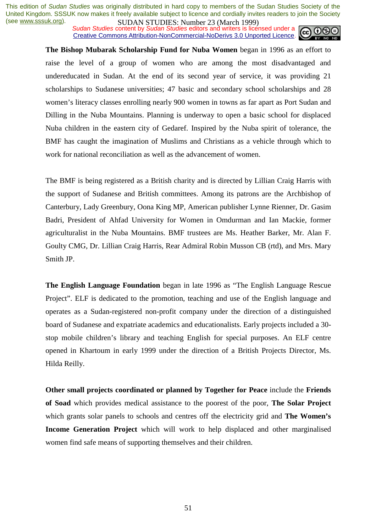**SUDAN STUDIES:** Number 25 (Watch 1777)<br>Sudan Studies content by Sudan Studies editors and writers is licensed under a **co**  $\odot$ Creative Commons Attribution-NonCommercial-NoDerivs 3.0 Unported Licence.



**The Bishop Mubarak Scholarship Fund for Nuba Women** began in 1996 as an effort to raise the level of a group of women who are among the most disadvantaged and undereducated in Sudan. At the end of its second year of service, it was providing 21 scholarships to Sudanese universities; 47 basic and secondary school scholarships and 28 women's literacy classes enrolling nearly 900 women in towns as far apart as Port Sudan and Dilling in the Nuba Mountains. Planning is underway to open a basic school for displaced Nuba children in the eastern city of Gedaref. Inspired by the Nuba spirit of tolerance, the BMF has caught the imagination of Muslims and Christians as a vehicle through which to work for national reconciliation as well as the advancement of women.

The BMF is being registered as a British charity and is directed by Lillian Craig Harris with the support of Sudanese and British committees. Among its patrons are the Archbishop of Canterbury, Lady Greenbury, Oona King MP, American publisher Lynne Rienner, Dr. Gasim Badri, President of Ahfad University for Women in Omdurman and Ian Mackie, former agriculturalist in the Nuba Mountains. BMF trustees are Ms. Heather Barker, Mr. Alan F. Goulty CMG, Dr. Lillian Craig Harris, Rear Admiral Robin Musson CB (rtd), and Mrs. Mary Smith JP.

**The English Language Foundation** began in late 1996 as "The English Language Rescue Project". ELF is dedicated to the promotion, teaching and use of the English language and operates as a Sudan-registered non-profit company under the direction of a distinguished board of Sudanese and expatriate academics and educationalists. Early projects included a 30 stop mobile children's library and teaching English for special purposes. An ELF centre opened in Khartoum in early 1999 under the direction of a British Projects Director, Ms. Hilda Reilly.

**Other small projects coordinated or planned by Together for Peace** include the **Friends of Soad** which provides medical assistance to the poorest of the poor, **The Solar Project**  which grants solar panels to schools and centres off the electricity grid and **The Women's Income Generation Project** which will work to help displaced and other marginalised women find safe means of supporting themselves and their children.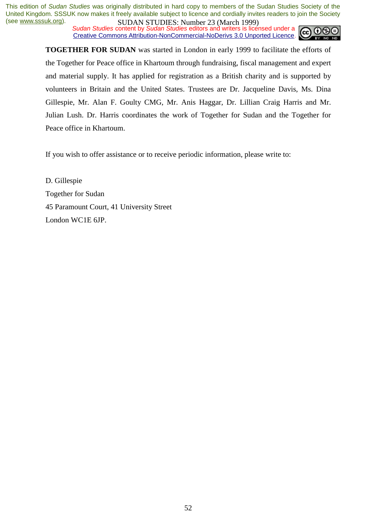**SUDAN STUDIES.** Number 25 (match 1777)<br>Sudan Studies content by Sudan Studies editors and writers is licensed under a Creative Commons Attribution-NonCommercial-NoDerivs 3.0 Unported Licence.



**TOGETHER FOR SUDAN** was started in London in early 1999 to facilitate the efforts of the Together for Peace office in Khartoum through fundraising, fiscal management and expert and material supply. It has applied for registration as a British charity and is supported by volunteers in Britain and the United States. Trustees are Dr. Jacqueline Davis, Ms. Dina Gillespie, Mr. Alan F. Goulty CMG, Mr. Anis Haggar, Dr. Lillian Craig Harris and Mr. Julian Lush. Dr. Harris coordinates the work of Together for Sudan and the Together for Peace office in Khartoum.

If you wish to offer assistance or to receive periodic information, please write to:

D. Gillespie Together for Sudan 45 Paramount Court, 41 University Street London WC1E 6JP.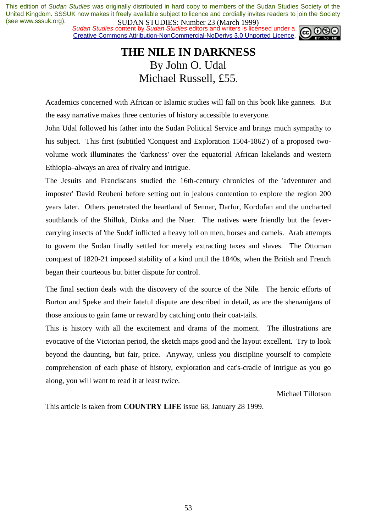**SUDAN STUDIES.** Number 25 (March 1777)<br>Sudan Studies content by Sudan Studies editors and writers is licensed under a **co**  $\bigcirc$ Creative Commons Attribution-NonCommercial-NoDerivs 3.0 Unported Licence.



### **THE NILE IN DARKNESS**  By John O. Udal Michael Russell, £55.

Academics concerned with African or Islamic studies will fall on this book like gannets. But the easy narrative makes three centuries of history accessible to everyone.

John Udal followed his father into the Sudan Political Service and brings much sympathy to his subject. This first (subtitled 'Conquest and Exploration 1504-1862') of a proposed twovolume work illuminates the 'darkness' over the equatorial African lakelands and western Ethiopia–always an area of rivalry and intrigue.

The Jesuits and Franciscans studied the 16th-century chronicles of the 'adventurer and imposter' David Reubeni before setting out in jealous contention to explore the region 200 years later. Others penetrated the heartland of Sennar, Darfur, Kordofan and the uncharted southlands of the Shilluk, Dinka and the Nuer. The natives were friendly but the fevercarrying insects of 'the Sudd' inflicted a heavy toll on men, horses and camels. Arab attempts to govern the Sudan finally settled for merely extracting taxes and slaves. The Ottoman conquest of 1820-21 imposed stability of a kind until the 1840s, when the British and French began their courteous but bitter dispute for control.

The final section deals with the discovery of the source of the Nile. The heroic efforts of Burton and Speke and their fateful dispute are described in detail, as are the shenanigans of those anxious to gain fame or reward by catching onto their coat-tails.

This is history with all the excitement and drama of the moment. The illustrations are evocative of the Victorian period, the sketch maps good and the layout excellent. Try to look beyond the daunting, but fair, price. Anyway, unless you discipline yourself to complete comprehension of each phase of history, exploration and cat's-cradle of intrigue as you go along, you will want to read it at least twice.

Michael Tillotson

This article is taken from **COUNTRY LIFE** issue 68, January 28 1999.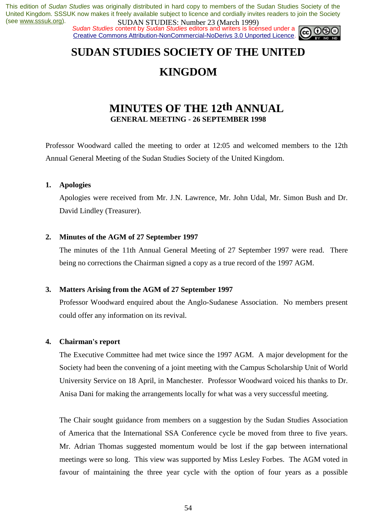**SUDAN STUDIES. NUTTER 20 (WALK 1999)**<br>Sudan Studies content by Sudan Studies editors and writers is licensed under a Creative Commons Attribution-NonCommercial-NoDerivs 3.0 Unported Licence.



### **SUDAN STUDIES SOCIETY OF THE UNITED**

### **KINGDOM**

### **MINUTES OF THE 12th ANNUAL GENERAL MEETING - 26 SEPTEMBER 1998**

Professor Woodward called the meeting to order at 12:05 and welcomed members to the 12th Annual General Meeting of the Sudan Studies Society of the United Kingdom.

#### **1. Apologies**

 Apologies were received from Mr. J.N. Lawrence, Mr. John Udal, Mr. Simon Bush and Dr. David Lindley (Treasurer).

#### **2. Minutes of the AGM of 27 September 1997**

 The minutes of the 11th Annual General Meeting of 27 September 1997 were read. There being no corrections the Chairman signed a copy as a true record of the 1997 AGM.

#### **3. Matters Arising from the AGM of 27 September 1997**

 Professor Woodward enquired about the Anglo-Sudanese Association. No members present could offer any information on its revival.

#### **4. Chairman's report**

 The Executive Committee had met twice since the 1997 AGM. A major development for the Society had been the convening of a joint meeting with the Campus Scholarship Unit of World University Service on 18 April, in Manchester. Professor Woodward voiced his thanks to Dr. Anisa Dani for making the arrangements locally for what was a very successful meeting.

 The Chair sought guidance from members on a suggestion by the Sudan Studies Association of America that the International SSA Conference cycle be moved from three to five years. Mr. Adrian Thomas suggested momentum would be lost if the gap between international meetings were so long. This view was supported by Miss Lesley Forbes. The AGM voted in favour of maintaining the three year cycle with the option of four years as a possible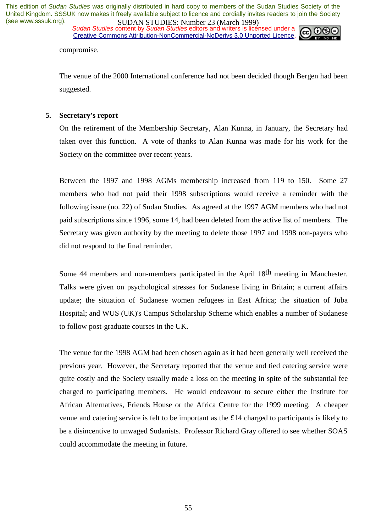**SUDAN STUDIES. NUTTER 20 (WALK 1999)**<br>Sudan Studies content by Sudan Studies editors and writers is licensed under a Creative Commons Attribution-NonCommercial-NoDerivs 3.0 Unported Licence.



compromise.

 The venue of the 2000 International conference had not been decided though Bergen had been suggested.

#### **5. Secretary's report**

 On the retirement of the Membership Secretary, Alan Kunna, in January, the Secretary had taken over this function. A vote of thanks to Alan Kunna was made for his work for the Society on the committee over recent years.

 Between the 1997 and 1998 AGMs membership increased from 119 to 150. Some 27 members who had not paid their 1998 subscriptions would receive a reminder with the following issue (no. 22) of Sudan Studies. As agreed at the 1997 AGM members who had not paid subscriptions since 1996, some 14, had been deleted from the active list of members. The Secretary was given authority by the meeting to delete those 1997 and 1998 non-payers who did not respond to the final reminder.

 Some 44 members and non-members participated in the April 18th meeting in Manchester. Talks were given on psychological stresses for Sudanese living in Britain; a current affairs update; the situation of Sudanese women refugees in East Africa; the situation of Juba Hospital; and WUS (UK)'s Campus Scholarship Scheme which enables a number of Sudanese to follow post-graduate courses in the UK.

 The venue for the 1998 AGM had been chosen again as it had been generally well received the previous year. However, the Secretary reported that the venue and tied catering service were quite costly and the Society usually made a loss on the meeting in spite of the substantial fee charged to participating members. He would endeavour to secure either the Institute for African Alternatives, Friends House or the Africa Centre for the 1999 meeting. A cheaper venue and catering service is felt to be important as the £14 charged to participants is likely to be a disincentive to unwaged Sudanists. Professor Richard Gray offered to see whether SOAS could accommodate the meeting in future.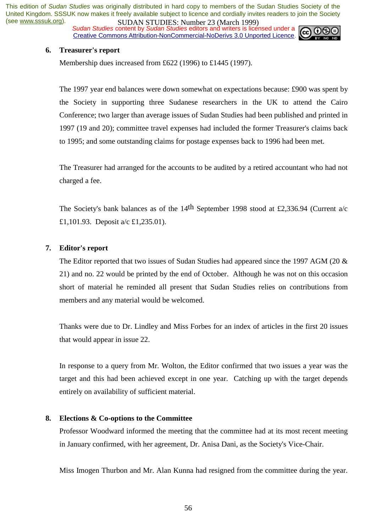*Sudan Studies* content by *Sudan Studies* editors and writers is licensed under a Creative Commons Attribution-NonCommercial-NoDerivs 3.0 Unported Licence.



#### **6. Treasurer's report**

Membership dues increased from £622 (1996) to £1445 (1997).

 The 1997 year end balances were down somewhat on expectations because: £900 was spent by the Society in supporting three Sudanese researchers in the UK to attend the Cairo Conference; two larger than average issues of Sudan Studies had been published and printed in 1997 (19 and 20); committee travel expenses had included the former Treasurer's claims back to 1995; and some outstanding claims for postage expenses back to 1996 had been met.

 The Treasurer had arranged for the accounts to be audited by a retired accountant who had not charged a fee.

The Society's bank balances as of the 14<sup>th</sup> September 1998 stood at £2,336.94 (Current a/c £1,101.93. Deposit a/c £1,235.01).

#### **7. Editor's report**

 The Editor reported that two issues of Sudan Studies had appeared since the 1997 AGM (20 & 21) and no. 22 would be printed by the end of October. Although he was not on this occasion short of material he reminded all present that Sudan Studies relies on contributions from members and any material would be welcomed.

 Thanks were due to Dr. Lindley and Miss Forbes for an index of articles in the first 20 issues that would appear in issue 22.

 In response to a query from Mr. Wolton, the Editor confirmed that two issues a year was the target and this had been achieved except in one year. Catching up with the target depends entirely on availability of sufficient material.

#### **8. Elections & Co-options to the Committee**

 Professor Woodward informed the meeting that the committee had at its most recent meeting in January confirmed, with her agreement, Dr. Anisa Dani, as the Society's Vice-Chair.

Miss Imogen Thurbon and Mr. Alan Kunna had resigned from the committee during the year.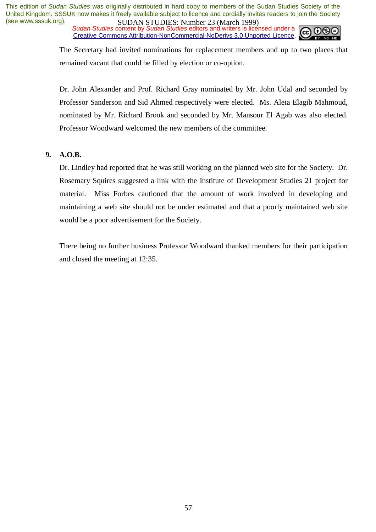*Sudan Studies* content by *Sudan Studies* editors and writers is licensed under a Creative Commons Attribution-NonCommercial-NoDerivs 3.0 Unported Licence.



The Secretary had invited nominations for replacement members and up to two places that remained vacant that could be filled by election or co-option.

 Dr. John Alexander and Prof. Richard Gray nominated by Mr. John Udal and seconded by Professor Sanderson and Sid Ahmed respectively were elected. Ms. Aleia Elagib Mahmoud, nominated by Mr. Richard Brook and seconded by Mr. Mansour El Agab was also elected. Professor Woodward welcomed the new members of the committee.

#### **9. A.O.B.**

 Dr. Lindley had reported that he was still working on the planned web site for the Society. Dr. Rosemary Squires suggested a link with the Institute of Development Studies 21 project for material. Miss Forbes cautioned that the amount of work involved in developing and maintaining a web site should not be under estimated and that a poorly maintained web site would be a poor advertisement for the Society.

 There being no further business Professor Woodward thanked members for their participation and closed the meeting at 12:35.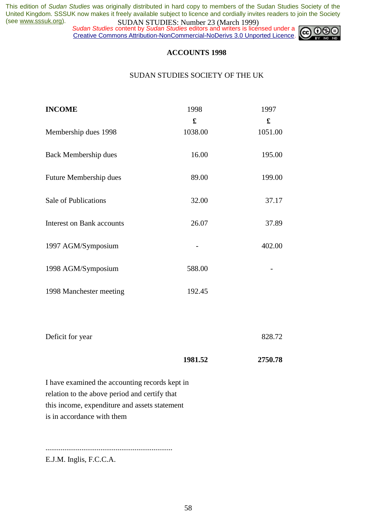*Sudan Studies* content by *Sudan Studies* editors and writers is licensed under a Creative Commons Attribution-NonCommercial-NoDerivs 3.0 Unported Licence.



#### **ACCOUNTS 1998**

#### SUDAN STUDIES SOCIETY OF THE UK

| 1998        | 1997    |
|-------------|---------|
| $\mathbf f$ | £       |
| 1038.00     | 1051.00 |
| 16.00       | 195.00  |
| 89.00       | 199.00  |
| 32.00       | 37.17   |
| 26.07       | 37.89   |
|             | 402.00  |
| 588.00      |         |
| 192.45      |         |
|             |         |
|             | 828.72  |
| 1981.52     | 2750.78 |
|             |         |

I have examined the accounting records kept in relation to the above period and certify that this income, expenditure and assets statement is in accordance with them

...................................................................

E.J.M. Inglis, F.C.C.A.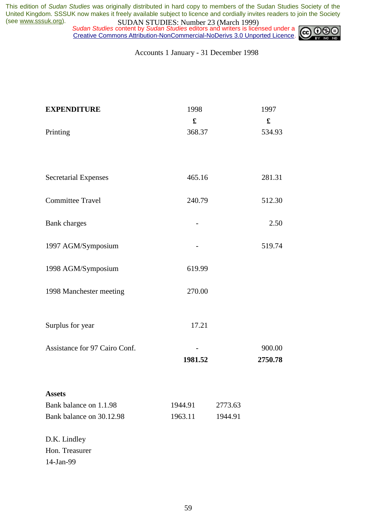*Sudan Studies* content by *Sudan Studies* editors and writers is licensed under a Creative Commons Attribution-NonCommercial-NoDerivs 3.0 Unported Licence.



Accounts 1 January - 31 December 1998

| <b>EXPENDITURE</b>            | 1998<br>£ |         | 1997<br>$\mathbf f$ |
|-------------------------------|-----------|---------|---------------------|
| Printing                      | 368.37    |         | 534.93              |
|                               |           |         |                     |
| <b>Secretarial Expenses</b>   | 465.16    |         | 281.31              |
| <b>Committee Travel</b>       | 240.79    |         | 512.30              |
| <b>Bank</b> charges           |           |         | 2.50                |
| 1997 AGM/Symposium            |           |         | 519.74              |
| 1998 AGM/Symposium            | 619.99    |         |                     |
| 1998 Manchester meeting       | 270.00    |         |                     |
| Surplus for year              | 17.21     |         |                     |
| Assistance for 97 Cairo Conf. | 1981.52   |         | 900.00<br>2750.78   |
| <b>Assets</b>                 |           |         |                     |
| Bank balance on 1.1.98        | 1944.91   | 2773.63 |                     |
| Bank balance on 30.12.98      | 1963.11   | 1944.91 |                     |
| D.K. Lindley                  |           |         |                     |
| Hon. Treasurer<br>14-Jan-99   |           |         |                     |
|                               |           |         |                     |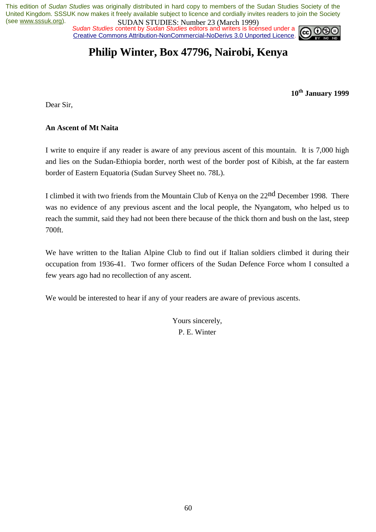*Sudan Studies* content by *Sudan Studies* editors and writers is licensed under a Creative Commons Attribution-NonCommercial-NoDerivs 3.0 Unported Licence.



### **Philip Winter, Box 47796, Nairobi, Kenya**

**10th January 1999** 

Dear Sir,

#### **An Ascent of Mt Naita**

I write to enquire if any reader is aware of any previous ascent of this mountain. It is 7,000 high and lies on the Sudan-Ethiopia border, north west of the border post of Kibish, at the far eastern border of Eastern Equatoria (Sudan Survey Sheet no. 78L).

I climbed it with two friends from the Mountain Club of Kenya on the 22nd December 1998. There was no evidence of any previous ascent and the local people, the Nyangatom, who helped us to reach the summit, said they had not been there because of the thick thorn and bush on the last, steep 700ft.

We have written to the Italian Alpine Club to find out if Italian soldiers climbed it during their occupation from 1936-41. Two former officers of the Sudan Defence Force whom I consulted a few years ago had no recollection of any ascent.

We would be interested to hear if any of your readers are aware of previous ascents.

Yours sincerely, P. E. Winter